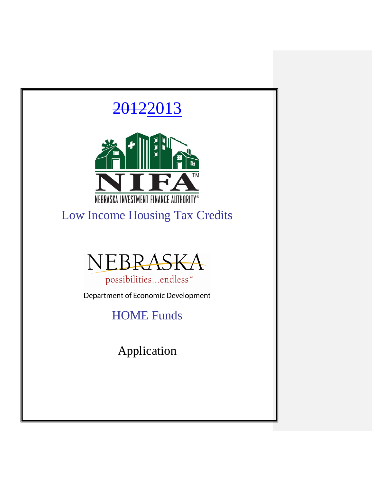

Ī

Low Income Housing Tax Credits



possibilities...endless<sup>®</sup> Department of Economic Development

HOME Funds

Application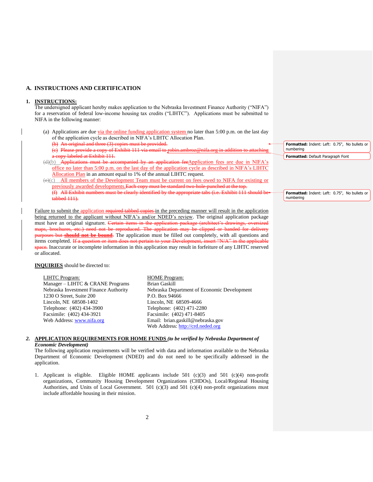#### **A. INSTRUCTIONS AND CERTIFICATION**

#### **1. INSTRUCTIONS:**

The undersigned applicant hereby makes application to the Nebraska Investment Finance Authority ("NIFA") for a reservation of federal low-income housing tax credits ("LIHTC"). Applications must be submitted to NIFA in the following manner:

(a) Applications are due via the online funding application system no later than 5:00 p.m. on the last day of the application cycle as described in NIFA's LIHTC Allocation Plan.

(b) An original and three (3) copies must be provided.

(c) Please provide a copy of Exhibit 111 via email to robin.ambroz@nifa.org in addition to attaching a copy labeled at Exhibit 111.

(d)(b) Applications must be accompanied by an application feeApplication fees are due in NIFA's office no later than 5:00 p.m. on the last day of the application cycle as described in NIFA's LIHTC Allocation Plan in an amount equal to 1% of the annual LIHTC request.

(e)(c) All members of the Development Team must be current on fees owed to NIFA for existing or previously awarded developments.Each copy must be standard two-hole-punched at the top. (f) All Exhibit numbers must be clearly identified by the appropriate tabs (i.e. Exhibit  $111$ tabbed 111).

Failure to submit the application required tabbed copies in the preceding manner will result in the application being returned to the applicant without NIFA's and/or NDED's review. The original application package must have an original signature. Certain items in the application package (architect's drawings, oversized maps, brochures, etc.) need not be reproduced. The application may be clipped or banded for delivery purposes but **should not be bound**. The application must be filled out completely, with all questions and items completed. If a question or item does not pertain to your Development, insert "N/A" in the applicable space. Inaccurate or incomplete information in this application may result in forfeiture of any LIHTC reserved or allocated.

**INQUIRIES** should be directed to:

LIHTC Program: HOME Program: Manager – LIHTC & CRANE Programs Brian Gaskill<br>Nebraska Investment Finance Authority Nebraska Dep Nebraska Department of Economic Development P.O. Box 94666  $1230$  O Street, Suite  $200$ Lincoln, NE 68508-1402 Lincoln, NE 68509-4666 Telephone: (402) 434-3900<br>
Facsimile: (402) 434-3921<br>
Facsimile: (402) 471-8405 Facsimile: (402) 434-3921 Web Address: [www.nifa.org](http://www.nifa.org/) Email: brian.gaskill@nebraska.gov Web Address: [http://crd.neded.org](http://crd.neded.org/)

#### *2.* **APPLICATION REQUIREMENTS FOR HOME FUNDS** *(to be verified by Nebraska Department of Economic Development)*

The following application requirements will be verified with data and information available to the Nebraska Department of Economic Development (NDED) and do not need to be specifically addressed in the application.

1. Applicant is eligible. Eligible HOME applicants include 501 (c)(3) and 501 (c)(4) non-profit organizations, Community Housing Development Organizations (CHDOs), Local/Regional Housing Authorities, and Units of Local Government. 501 (c)(3) and 501 (c)(4) non-profit organizations must include affordable housing in their mission.

**Formatted:** Indent: Left: 0.75", No bullets or numbering **Formatted:** Default Paragraph Font

**Formatted:** Indent: Left: 0.75", No bullets or numbering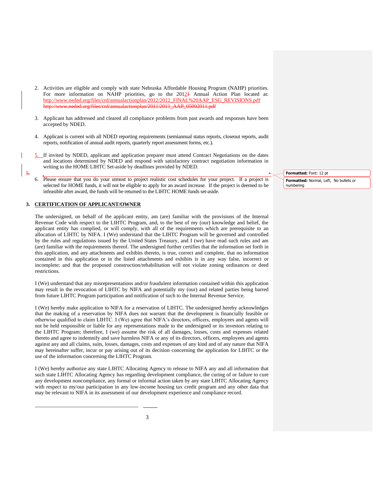- 2. Activities are eligible and comply with state Nebraska Affordable Housing Program (NAHP) priorities. For more information on NAHP priorities, go to the  $2012\text{+}$  Annual Action Plan located at: [http://www.neded.org/files/crd/annualactionplan/2012/2012\\_FINAL%20AAP\\_ESG\\_REVISIONS.pdf](http://www.neded.org/files/crd/annualactionplan/2012/2012_FINAL%20AAP_ESG_REVISIONS.pdf) etterd/annualactionplan/2011/2011\_AAP\_05092011.pdf
- 3. Applicant has addressed and cleared all compliance problems from past awards and responses have been accepted by NDED.
- 4. Applicant is current with all NDED reporting requirements (semiannual status reports, closeout reports, audit reports, notification of annual audit reports, quarterly report assessment forms, etc.).
- 5. If invited by NDED, applicant and application preparer must attend Contract Negotiations on the dates and locations determined by NDED and respond with satisfactory contract negotiation information in writing to the HOME LIHTC Set-aside by deadlines provided by NDED.
- Please ensure that you do your utmost to project realistic cost schedules for your project. If a project is selected for HOME funds, it will not be eligible to apply for an award increase. If the project is deemed to be infeasible after award, the funds will be returned to the LIHTC HOME funds set-aside.

#### **3. CERTIFICATION OF APPLICANT/OWNER**

\_\_\_\_\_\_\_\_\_\_\_\_\_\_\_\_\_\_\_\_\_\_\_\_\_\_\_\_\_\_\_\_\_\_\_\_\_\_\_

5.

The undersigned, on behalf of the applicant entity, am (are) familiar with the provisions of the Internal Revenue Code with respect to the LIHTC Program, and, to the best of my (our) knowledge and belief, the applicant entity has complied, or will comply, with all of the requirements which are prerequisite to an allocation of LIHTC by NIFA. I (We) understand that the LIHTC Program will be governed and controlled by the rules and regulations issued by the United States Treasury, and I (we) have read such rules and am (are) familiar with the requirements thereof. The undersigned further certifies that the information set forth in this application, and any attachments and exhibits thereto, is true, correct and complete, that no information contained in this application or in the listed attachments and exhibits is in any way false, incorrect or incomplete; and that the proposed construction/rehabilitation will not violate zoning ordinances or deed restrictions.

I (We) understand that any misrepresentations and/or fraudulent information contained within this application may result in the revocation of LIHTC by NIFA and potentially my (our) and related parties being barred from future LIHTC Program participation and notification of such to the Internal Revenue Service.

I (We) hereby make application to NIFA for a reservation of LIHTC. The undersigned hereby acknowledges that the making of a reservation by NIFA does not warrant that the development is financially feasible or otherwise qualified to claim LIHTC. I (We) agree that NIFA's directors, officers, employees and agents will not be held responsible or liable for any representations made to the undersigned or its investors relating to the LIHTC Program; therefore, I (we) assume the risk of all damages, losses, costs and expenses related thereto and agree to indemnify and save harmless NIFA or any of its directors, officers, employees and agents against any and all claims, suits, losses, damages, costs and expenses of any kind and of any nature that NIFA may hereinafter suffer, incur or pay arising out of its decision concerning the application for LIHTC or the use of the information concerning the LIHTC Program.

I (We) hereby authorize any state LIHTC Allocating Agency to release to NIFA any and all information that such state LIHTC Allocating Agency has regarding development compliance, the curing of or failure to cure any development noncompliance, any formal or informal action taken by any state LIHTC Allocating Agency with respect to my/our participation in any low-income housing tax credit program and any other data that may be relevant to NIFA in its assessment of our development experience and compliance record.

**Formatted:** Font: 12 pt **Formatted:** Normal, Left, No bullets or numbering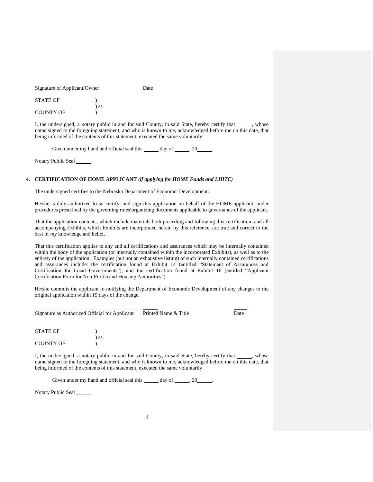| Signature of Applicant/Owner | Date |
|------------------------------|------|
|                              |      |

| <b>STATE OF</b>  |         |
|------------------|---------|
|                  | $)$ SS. |
| <b>COUNTY OF</b> |         |

I, the undersigned, a notary public in and for said County, in said State, hereby certify that \_\_\_\_\_, whose name signed to the foregoing statement, and who is known to me, acknowledged before me on this date, that being informed of the contents of this statement, executed the same voluntarily.

Given under my hand and official seal this  $\_\_\_\_$  day of  $\_\_\_\_$ , 20  $\_\_\_\_\_$ .

Notary Public Seal

#### **4. CERTIFICATION OF HOME APPLICANT** *(if applying for HOME Funds and LIHTC)*

The undersigned certifies to the Nebraska Department of Economic Development:

He\she is duly authorized to so certify, and sign this application on behalf of the HOME applicant, under procedures prescribed by the governing rules\organizing documents applicable to governance of the applicant.

That the application contents, which include materials both preceding and following this certification, and all accompanying Exhibits, which Exhibits are incorporated herein by this reference, are true and correct to the best of my knowledge and belief.

That this certification applies to any and all certifications and assurances which may be internally contained within the body of the application (or internally contained within the incorporated Exhibits), as well as to the entirety of the application. Examples (but not an exhaustive listing) of such internally contained certifications and assurances include: the certification found at Exhibit 14 (entitled "Statement of Assurances and Certification for Local Governments"); and the certification found at Exhibit 16 (entitled "Applicant Certification Form for Non-Profits and Housing Authorities").

He\she commits the applicant to notifying the Department of Economic Development of any changes to the original application within 15 days of the change.

| Signature as Authorized Official for Applicant |       | Printed Name & Title | Date |
|------------------------------------------------|-------|----------------------|------|
| <b>STATE OF</b>                                | ) ss. |                      |      |

I, the undersigned, a notary public in and for said County, in said State, hereby certify that \_\_\_\_\_\_, whose name signed to the foregoing statement, and who is known to me, acknowledged before me on this date, that being informed of the contents of this statement, executed the same voluntarily.

Given under my hand and official seal this  $\_\_\_\_$  day of  $\_\_\_\_$ , 20  $\_\_\_\_\$ .

Notary Public Seal

COUNTY OF )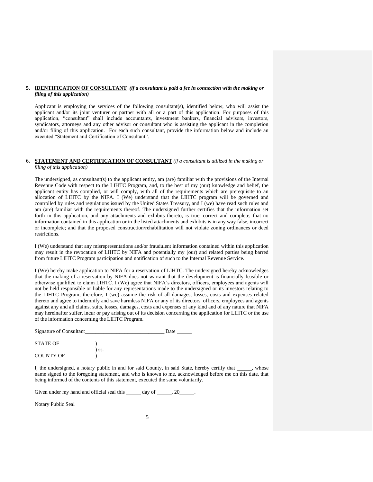#### **5. IDENTIFICATION OF CONSULTANT** *(if a consultant is paid a fee in connection with the making or filing of this application)*

Applicant is employing the services of the following consultant(s), identified below, who will assist the applicant and/or its joint venturer or partner with all or a part of this application. For purposes of this application, "consultant" shall include accountants, investment bankers, financial advisors, investors, syndicators, attorneys and any other advisor or consultant who is assisting the applicant in the completion and/or filing of this application. For each such consultant, provide the information below and include an executed "Statement and Certification of Consultant".

#### **6. STATEMENT AND CERTIFICATION OF CONSULTANT** *(if a consultant is utilized in the making or filing of this application)*

The undersigned, as consultant(s) to the applicant entity, am (are) familiar with the provisions of the Internal Revenue Code with respect to the LIHTC Program, and, to the best of my (our) knowledge and belief, the applicant entity has complied, or will comply, with all of the requirements which are prerequisite to an allocation of LIHTC by the NIFA. I (We) understand that the LIHTC program will be governed and controlled by rules and regulations issued by the United States Treasury, and I (we) have read such rules and am (are) familiar with the requirements thereof. The undersigned further certifies that the information set forth in this application, and any attachments and exhibits thereto, is true, correct and complete, that no information contained in this application or in the listed attachments and exhibits is in any way false, incorrect or incomplete; and that the proposed construction/rehabilitation will not violate zoning ordinances or deed restrictions.

I (We) understand that any misrepresentations and/or fraudulent information contained within this application may result in the revocation of LIHTC by NIFA and potentially my (our) and related parties being barred from future LIHTC Program participation and notification of such to the Internal Revenue Service.

I (We) hereby make application to NIFA for a reservation of LIHTC. The undersigned hereby acknowledges that the making of a reservation by NIFA does not warrant that the development is financially feasible or otherwise qualified to claim LIHTC. I (We) agree that NIFA's directors, officers, employees and agents will not be held responsible or liable for any representations made to the undersigned or its investors relating to the LIHTC Program; therefore, I (we) assume the risk of all damages, losses, costs and expenses related thereto and agree to indemnify and save harmless NIFA or any of its directors, officers, employees and agents against any and all claims, suits, losses, damages, costs and expenses of any kind and of any nature that NIFA may hereinafter suffer, incur or pay arising out of its decision concerning the application for LIHTC or the use of the information concerning the LIHTC Program.

| Signature of Consultant |       | Date |
|-------------------------|-------|------|
| <b>STATE OF</b>         |       |      |
|                         | \ SS. |      |
| <b>COUNTY OF</b>        |       |      |

I, the undersigned, a notary public in and for said County, in said State, hereby certify that , whose name signed to the foregoing statement, and who is known to me, acknowledged before me on this date, that being informed of the contents of this statement, executed the same voluntarily.

Given under my hand and official seal this  $\_\_\_\_day$  of  $\_\_\_\_3$ , 20  $\_\_\_\_\_$ .

Notary Public Seal \_\_\_\_\_\_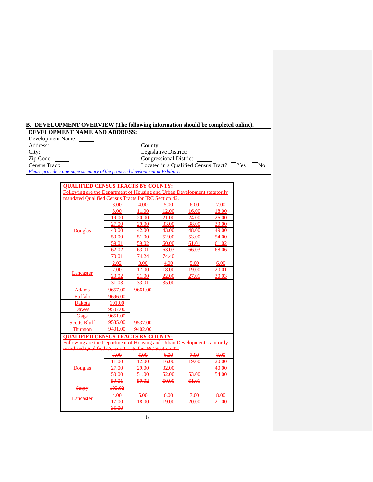## **B. DEVELOPMENT OVERVIEW (The following information should be completed online).**

# **DEVELOPMENT NAME AND ADDRESS:**

Development Name: Address: County:

Address: City: County: County: County: City: City: County: Legislative District: Congressional District: Congressional District: Zip Code: Congressional District: Located in a Qualified Census Tract? Nes No

*Please provide a one-page summary of the proposed development in Exhibit 1*.

| <b>QUALIFIED CENSUS TRACTS BY COUNTY:</b>                                 |                    |         |       |       |       |  |  |  |
|---------------------------------------------------------------------------|--------------------|---------|-------|-------|-------|--|--|--|
| Following are the Department of Housing and Urban Development statutorily |                    |         |       |       |       |  |  |  |
| mandated Qualified Census Tracts for IRC Section 42.                      |                    |         |       |       |       |  |  |  |
|                                                                           | 3.00               | 4.00    | 5.00  | 6.00  | 7.00  |  |  |  |
|                                                                           | 8.00               | 11.00   | 12.00 | 16.00 | 18.00 |  |  |  |
|                                                                           | 19.00              | 20.00   | 21.00 | 24.00 | 26.00 |  |  |  |
|                                                                           | 27.00              | 29.00   | 33.00 | 38.00 | 39.00 |  |  |  |
| Douglas                                                                   | 40.00              | 42.00   | 43.00 | 48.00 | 49.00 |  |  |  |
|                                                                           | 50.00              | 51.00   | 52.00 | 53.00 | 54.00 |  |  |  |
|                                                                           | 59.01              | 59.02   | 60.00 | 61.01 | 61.02 |  |  |  |
|                                                                           | 62.02              | 63.01   | 63.03 | 66.03 | 68.06 |  |  |  |
|                                                                           | 70.01              | 74.24   | 74.40 |       |       |  |  |  |
|                                                                           | 2.02               | 3.00    | 4.00  | 5.00  | 6.00  |  |  |  |
|                                                                           | 7.00               | 17.00   | 18.00 | 19.00 | 20.01 |  |  |  |
| Lancaster                                                                 | 20.02              | 21.00   | 22.00 | 27.01 | 30.03 |  |  |  |
|                                                                           | 31.03              | 33.01   | 35.00 |       |       |  |  |  |
| <b>Adams</b>                                                              | 9661.00<br>9657.00 |         |       |       |       |  |  |  |
| <b>Buffalo</b>                                                            | 9696.00            |         |       |       |       |  |  |  |
| Dakota                                                                    | 101.00             |         |       |       |       |  |  |  |
| <b>Dawes</b>                                                              | 9507.00            |         |       |       |       |  |  |  |
| Gage                                                                      | 9651.00            |         |       |       |       |  |  |  |
| <b>Scotts Bluff</b>                                                       | 9535.00            | 9537.00 |       |       |       |  |  |  |
| <b>Thurston</b>                                                           | 9401.00            | 9402.00 |       |       |       |  |  |  |
| <b>OUALIFIED CENSUS TRACTS BY COUNTY:</b>                                 |                    |         |       |       |       |  |  |  |
| Following are the Department of Housing and Urban Development statutorily |                    |         |       |       |       |  |  |  |
| mandated Qualified Census Tracts for IRC Section 42.                      |                    |         |       |       |       |  |  |  |
|                                                                           | 3.00               | 5.00    | 6.00  | 7.00  | 8.00  |  |  |  |
|                                                                           | 44.00              | $+2.00$ | 16.00 | 19.00 | 20.00 |  |  |  |
| <b>Douglas</b>                                                            | 27.00              | 29.00   | 32.00 |       | 40.00 |  |  |  |
|                                                                           | 50.00              | 51.00   | 52.00 | 53.00 | 54.00 |  |  |  |
|                                                                           | 59.01              | 59.02   | 60.00 | 61.01 |       |  |  |  |
| <b>Sarpy</b>                                                              | 103.02             |         |       |       |       |  |  |  |
| Lancaster                                                                 | 4.00               | 5.00    | 6.00  | 7.00  | 8.00  |  |  |  |
|                                                                           | 17.00              | 18.00   | 19.00 | 20.00 | 21.00 |  |  |  |
|                                                                           | 35.00              |         |       |       |       |  |  |  |

6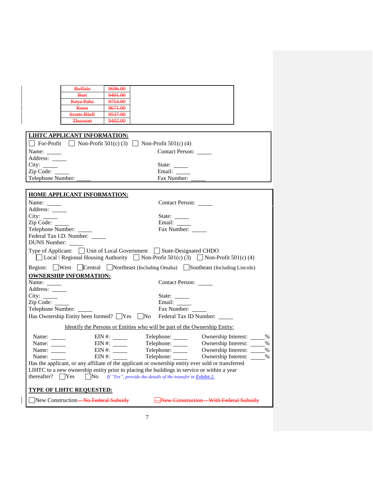|                           | <b>Buffalo</b>                      | 9696.00    |                                                                                                   |                                                                                                     |
|---------------------------|-------------------------------------|------------|---------------------------------------------------------------------------------------------------|-----------------------------------------------------------------------------------------------------|
|                           | <b>Burt</b>                         | 9401.00    |                                                                                                   |                                                                                                     |
|                           | <b>Keya Paha</b>                    | 9754.00    |                                                                                                   |                                                                                                     |
|                           | <b>Knox</b>                         | 9671.00    |                                                                                                   |                                                                                                     |
|                           | <b>Scotts Bluff</b>                 | 9537.00    |                                                                                                   |                                                                                                     |
|                           | <b>Thurston</b>                     | 9402.00    |                                                                                                   |                                                                                                     |
|                           |                                     |            |                                                                                                   |                                                                                                     |
|                           | <b>LIHTC APPLICANT INFORMATION:</b> |            |                                                                                                   |                                                                                                     |
|                           |                                     |            | $\Box$ For-Profit $\Box$ Non-Profit 501(c) (3) $\Box$ Non-Profit 501(c) (4)                       |                                                                                                     |
|                           |                                     |            |                                                                                                   |                                                                                                     |
|                           |                                     |            | <b>Contact Person:</b>                                                                            |                                                                                                     |
| Address: ______           |                                     |            |                                                                                                   |                                                                                                     |
|                           |                                     |            | State: $\frac{ }{ }$                                                                              |                                                                                                     |
| Zip Code:                 |                                     |            | Email: _____                                                                                      |                                                                                                     |
| Telephone Number:         |                                     |            | Fax Number:                                                                                       |                                                                                                     |
|                           |                                     |            |                                                                                                   |                                                                                                     |
|                           | <b>HOME APPLICANT INFORMATION:</b>  |            |                                                                                                   |                                                                                                     |
|                           |                                     |            |                                                                                                   |                                                                                                     |
|                           |                                     |            | Contact Person:                                                                                   |                                                                                                     |
| Address: _____            |                                     |            |                                                                                                   |                                                                                                     |
|                           |                                     |            | State: $\frac{1}{\sqrt{2\pi}}$                                                                    |                                                                                                     |
| Zip Code:                 |                                     |            | Email: _______                                                                                    |                                                                                                     |
|                           | Telephone Number:                   |            | Fax Number:                                                                                       |                                                                                                     |
|                           | Federal Tax I.D. Number: _____      |            |                                                                                                   |                                                                                                     |
| <b>DUNS Number:</b>       |                                     |            |                                                                                                   |                                                                                                     |
|                           |                                     |            | Type of Applicant: Unit of Local Government State-Designated CHDO                                 | $\Box$ Local \ Regional Housing Authority $\Box$ Non-Profit 501(c) (3) $\Box$ Non-Profit 501(c) (4) |
|                           |                                     |            |                                                                                                   |                                                                                                     |
|                           |                                     |            |                                                                                                   | Region: West Central Northeast (Including Omaha) Southeast (Including Lincoln)                      |
|                           |                                     |            |                                                                                                   |                                                                                                     |
|                           | <b>OWNERSHIP INFORMATION:</b>       |            |                                                                                                   |                                                                                                     |
| Name:                     |                                     |            | Contact Person: ______                                                                            |                                                                                                     |
| Address: ______           |                                     |            |                                                                                                   |                                                                                                     |
| City: $\_\_$              |                                     |            | State:                                                                                            |                                                                                                     |
| Zip Code:                 |                                     |            | Email:                                                                                            |                                                                                                     |
| Telephone Number:         |                                     |            | Fax Number:                                                                                       |                                                                                                     |
|                           |                                     |            | Has Ownership Entity been formed? Ves No Federal Tax ID Number: ______                            |                                                                                                     |
|                           |                                     |            | Identify the Persons or Entities who will be part of the Ownership Entity:                        |                                                                                                     |
| Name: $\_\_\_\_\_\_\_\_\$ |                                     | $EIN \#$ : | Telephone: ______                                                                                 | Ownership Interest: _____%                                                                          |
| Name: ______              |                                     | $EIN \#$ : | Telephone: ______                                                                                 | Ownership Interest:<br>$\%$                                                                         |
| Name:                     |                                     | $EIN \#$   | Telephone: _____                                                                                  | Ownership Interest:<br>$\%$                                                                         |
| Name:                     | $EIN$ #:                            |            | Telephone: ______                                                                                 | Ownership Interest:<br>$\%$                                                                         |
|                           |                                     |            | Has the applicant, or any affiliate of the applicant or ownership entity ever sold or transferred |                                                                                                     |
|                           |                                     |            | LIHTC to a new ownership entity prior to placing the buildings in service or within a year        |                                                                                                     |
| thereafter? $\Box$ Yes    |                                     |            | $\Box$ No If "Yes", provide the details of the transfer in Exhibit 2.                             |                                                                                                     |
|                           |                                     |            |                                                                                                   |                                                                                                     |
|                           | <b>TYPE OF LIHTC REQUESTED:</b>     |            |                                                                                                   |                                                                                                     |
|                           | New Construction-No Federal Subsidy |            |                                                                                                   | New Construction With Federal Subsidy                                                               |

 $\overline{\phantom{a}}$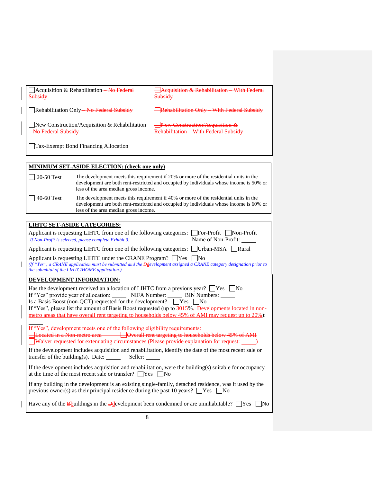| Subsidy                                                                             | Acquisition & Rehabilitation-No Federal                                                                                                                   | <b>Acquisition &amp; Rehabilitation</b> With Federal<br>Subsidy                                                                                                                                                                                                                                                                                                                       |  |  |  |
|-------------------------------------------------------------------------------------|-----------------------------------------------------------------------------------------------------------------------------------------------------------|---------------------------------------------------------------------------------------------------------------------------------------------------------------------------------------------------------------------------------------------------------------------------------------------------------------------------------------------------------------------------------------|--|--|--|
| Rehabilitation Only-No Federal Subsidy                                              |                                                                                                                                                           | Rehabilitation Only With Federal Subsidy                                                                                                                                                                                                                                                                                                                                              |  |  |  |
| No Federal Subsidy                                                                  | New Construction/Acquisition & Rehabilitation                                                                                                             | New Construction/Acquisition &<br>Rehabilitation With Federal Subsidy                                                                                                                                                                                                                                                                                                                 |  |  |  |
|                                                                                     | Tax-Exempt Bond Financing Allocation                                                                                                                      |                                                                                                                                                                                                                                                                                                                                                                                       |  |  |  |
|                                                                                     |                                                                                                                                                           |                                                                                                                                                                                                                                                                                                                                                                                       |  |  |  |
|                                                                                     | <b>MINIMUM SET-ASIDE ELECTION: (check one only)</b>                                                                                                       |                                                                                                                                                                                                                                                                                                                                                                                       |  |  |  |
| 20-50 Test                                                                          | less of the area median gross income.                                                                                                                     | The development meets this requirement if 20% or more of the residential units in the<br>development are both rent-restricted and occupied by individuals whose income is 50% or                                                                                                                                                                                                      |  |  |  |
| 40-60 Test                                                                          | less of the area median gross income.                                                                                                                     | The development meets this requirement if 40% or more of the residential units in the<br>development are both rent-restricted and occupied by individuals whose income is 60% or                                                                                                                                                                                                      |  |  |  |
|                                                                                     |                                                                                                                                                           |                                                                                                                                                                                                                                                                                                                                                                                       |  |  |  |
|                                                                                     | <b>LIHTC SET-ASIDE CATEGORIES:</b>                                                                                                                        |                                                                                                                                                                                                                                                                                                                                                                                       |  |  |  |
|                                                                                     | If Non-Profit is selected, please complete Exhibit 3.                                                                                                     | Applicant is requesting LIHTC from one of the following categories: $\Box$ For-Profit $\Box$ Non-Profit<br>Name of Non-Profit: _____                                                                                                                                                                                                                                                  |  |  |  |
| Applicant is requesting LIHTC from one of the following categories: Urban-MSA Rural |                                                                                                                                                           |                                                                                                                                                                                                                                                                                                                                                                                       |  |  |  |
|                                                                                     | Applicant is requesting LIHTC under the CRANE Program? $\Box$ Yes $\Box$ No<br>the submittal of the LIHTC/HOME application.)                              | (If "Yes", a CRANE application must be submitted and the <b>D</b> development assigned a CRANE category designation prior to                                                                                                                                                                                                                                                          |  |  |  |
|                                                                                     | <b>DEVELOPMENT INFORMATION:</b>                                                                                                                           |                                                                                                                                                                                                                                                                                                                                                                                       |  |  |  |
|                                                                                     | Is a Basis Boost (non-QCT) requested for the development? $\Box$ Yes $\Box$ No                                                                            | Has the development received an allocation of LIHTC from a previous year? $\Box$ Yes $\Box$ No<br>If "Yes" provide year of allocation: NIFA Number: BIN Numbers: _____<br>If "Yes", please list the amount of Basis Boost requested (up to 3015%. Developments located in non-<br>metro areas that have overall rent targeting to households below 45% of AMI may request up to 20%): |  |  |  |
|                                                                                     | If "Yes", development meets one of the following eligibility requirements:                                                                                | Elocated in a Non metro area <b>Confidential Contract Contract and Secure 20</b> Decade to households below 45% of AMI<br><b>Waiver requested for extenuating circumstances (Please provide explanation for request:</b> $\_\_\_\_$ )                                                                                                                                                 |  |  |  |
|                                                                                     | If the development includes acquisition and rehabilitation, identify the date of the most recent sale or<br>transfer of the building(s). Date:<br>Seller: |                                                                                                                                                                                                                                                                                                                                                                                       |  |  |  |
|                                                                                     | at the time of the most recent sale or transfer? $\Box$ Yes $\Box$ No                                                                                     | If the development includes acquisition and rehabilitation, were the building(s) suitable for occupancy                                                                                                                                                                                                                                                                               |  |  |  |
|                                                                                     | previous owner(s) as their principal residence during the past 10 years? $\Box$ Yes [                                                                     | If any building in the development is an existing single-family, detached residence, was it used by the<br>$\overline{\text{No}}$                                                                                                                                                                                                                                                     |  |  |  |
|                                                                                     | Have any of the B buildings in the D development been condemned or are uninhabitable? $\Box$ Yes<br>$\overline{\rm No}$                                   |                                                                                                                                                                                                                                                                                                                                                                                       |  |  |  |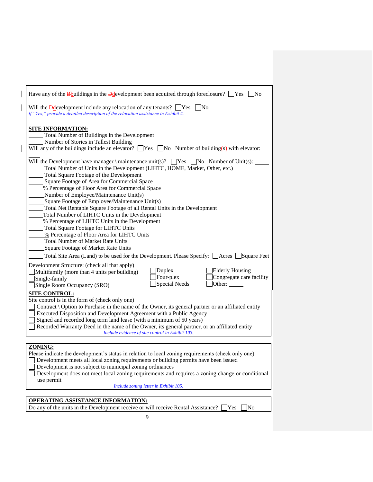| Have any of the B buildings in the D development been acquired through foreclosure? $\Box$ Yes $\Box$ No                                                                                                                                                                                                                                                                                                                     |
|------------------------------------------------------------------------------------------------------------------------------------------------------------------------------------------------------------------------------------------------------------------------------------------------------------------------------------------------------------------------------------------------------------------------------|
| Will the <b>D</b> development include any relocation of any tenants? $\Box$ Yes $\Box$ No<br>If "Yes," provide a detailed description of the relocation assistance in Exhibit 4.                                                                                                                                                                                                                                             |
| <b>SITE INFORMATION:</b><br>Total Number of Buildings in the Development<br>Number of Stories in Tallest Building<br>Will any of the buildings include an elevator? $\Box$ Yes $\Box$ No Number of building(s) with elevator:                                                                                                                                                                                                |
| Will the Development have manager \ maintenance unit(s)? $\Box$ Yes $\Box$ No Number of Unit(s):<br>Total Number of Units in the Development (LIHTC, HOME, Market, Other, etc.)<br>Total Square Footage of the Development<br>Square Footage of Area for Commercial Space<br>% Percentage of Floor Area for Commercial Space<br>Number of Employee/Maintenance Unit(s)                                                       |
| Square Footage of Employee/Maintenance Unit(s)<br>Total Net Rentable Square Footage of all Rental Units in the Development<br>Total Number of LIHTC Units in the Development<br>% Percentage of LIHTC Units in the Development<br><b>Total Square Footage for LIHTC Units</b><br>% Percentage of Floor Area for LIHTC Units<br><b>Total Number of Market Rate Units</b><br>Square Footage of Market Rate Units               |
| Total Site Area (Land) to be used for the Development. Please Specify: □ Acres □ Square Feet                                                                                                                                                                                                                                                                                                                                 |
| Development Structure: (check all that apply)<br><b>Elderly Housing</b><br>Duplex<br>Multifamily (more than 4 units per building)<br>Four-plex<br>Congregate care facility<br>Single-family<br>Special Needs<br>Other:<br>Single Room Occupancy (SRO)<br><b>SITE CONTROL:</b><br>Site control is in the form of (check only one)                                                                                             |
| Contract \ Option to Purchase in the name of the Owner, its general partner or an affiliated entity<br>Executed Disposition and Development Agreement with a Public Agency<br>Signed and recorded long term land lease (with a minimum of 50 years)<br>Recorded Warranty Deed in the name of the Owner, its general partner, or an affiliated entity<br>Include evidence of site control in Exhibit 103.                     |
|                                                                                                                                                                                                                                                                                                                                                                                                                              |
| ZONING:<br>Please indicate the development's status in relation to local zoning requirements (check only one)<br>Development meets all local zoning requirements or building permits have been issued<br>Development is not subject to municipal zoning ordinances<br>Development does not meet local zoning requirements and requires a zoning change or conditional<br>use permit<br>Include zoning letter in Exhibit 105. |
|                                                                                                                                                                                                                                                                                                                                                                                                                              |
| <b>OPERATING ASSISTANCE INFORMATION:</b><br>Do any of the units in the Development receive or will receive Rental Assistance?<br>No<br>Yes                                                                                                                                                                                                                                                                                   |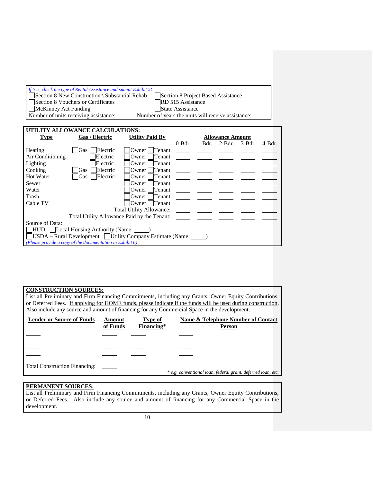| If Yes, check the type of Rental Assistance and submit Exhibit 5:<br>Section 8 New Construction \ Substantial Rehab<br>Section 8 Vouchers or Certificates<br>McKinney Act Funding<br>Number of units receiving assistance: | Section 8 Project Based Assistance<br>RD 515 Assistance<br>State Assistance<br>Number of years the units will receive assistance: |
|----------------------------------------------------------------------------------------------------------------------------------------------------------------------------------------------------------------------------|-----------------------------------------------------------------------------------------------------------------------------------|
| UTILITY ALLOWANCE CALCULATIONS:<br>Gas \ Electric<br>Type                                                                                                                                                                  | <b>Utility Paid By</b><br><b>Allowance Amount</b>                                                                                 |

| <b>Type</b>                                                            | $Gas \setminus Electric$                                     | <b>Utility Paid By</b>          | <b>Allowance Amount</b> |          |          |           |           |
|------------------------------------------------------------------------|--------------------------------------------------------------|---------------------------------|-------------------------|----------|----------|-----------|-----------|
|                                                                        |                                                              |                                 | $0$ -Bdr.               | $1-Bdr.$ | $2-Bdr.$ | $3-Bdr$ . | $4-8dr$ . |
| Heating                                                                | Gas<br>Electric                                              | Owner   Tenant                  |                         |          |          |           |           |
| Air Conditioning                                                       | Electric                                                     | Tenant<br>Owner I               |                         |          |          |           |           |
| Lighting                                                               | Electric                                                     | Tenant<br>Owner                 |                         |          |          |           |           |
| Cooking                                                                | Electric<br><b>Gas</b>                                       | Tenant<br><b>Owner</b>          |                         |          |          |           |           |
| <b>Hot Water</b>                                                       | Electric<br><b>Gas</b>                                       | Tenant<br><b>Owner</b>          |                         |          |          |           |           |
| Sewer                                                                  |                                                              | Tenant<br>Owner                 |                         |          |          |           |           |
| Water                                                                  |                                                              | Tenant<br>Owner                 |                         |          |          |           |           |
| Trash                                                                  |                                                              | Tenant<br>$O$ wner              |                         |          |          |           |           |
| Cable TV                                                               |                                                              | Owner   Tenant                  |                         |          |          |           |           |
|                                                                        |                                                              | <b>Total Utility Allowance:</b> |                         |          |          |           |           |
|                                                                        | Total Utility Allowance Paid by the Tenant:                  |                                 |                         |          |          |           |           |
| Source of Data:                                                        |                                                              |                                 |                         |          |          |           |           |
| HUD   Local Housing Authority (Name: ______)                           |                                                              |                                 |                         |          |          |           |           |
| $\Box$ USDA – Rural Development $\Box$ Utility Company Estimate (Name: |                                                              |                                 |                         |          |          |           |           |
|                                                                        | (Please provide a copy of the documentation in Exhibit $6$ ) |                                 |                         |          |          |           |           |

## **CONSTRUCTION SOURCES:**

List all Preliminary and Firm Financing Commitments, including any Grants, Owner Equity Contributions, or Deferred Fees. If applying for HOME funds, please indicate if the funds will be used during construction. Also include any source and amount of financing for any Commercial Space in the development.

| <b>Lender or Source of Funds</b>     | Amount<br>of Funds | Type of<br>Financing* | Name & Telephone Number of Contact<br><b>Person</b>          |
|--------------------------------------|--------------------|-----------------------|--------------------------------------------------------------|
|                                      |                    |                       |                                                              |
|                                      |                    |                       |                                                              |
|                                      |                    |                       |                                                              |
|                                      |                    |                       |                                                              |
| <b>Total Construction Financing:</b> |                    |                       |                                                              |
|                                      |                    |                       | * e.g. conventional loan, federal grant, deferred loan, etc. |

# **PERMANENT SOURCES:**

List all Preliminary and Firm Financing Commitments, including any Grants, Owner Equity Contributions, or Deferred Fees. Also include any source and amount of financing for any Commercial Space in the development.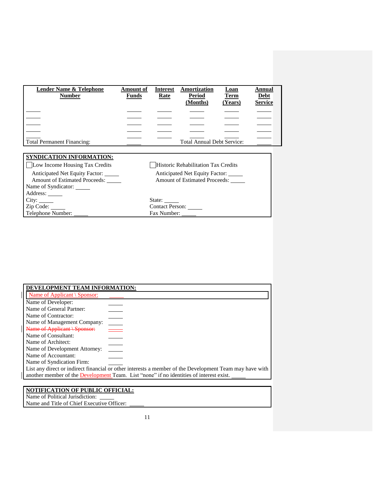| <b>Lender Name &amp; Telephone</b><br><b>Number</b> | <b>Amount of</b><br><b>Funds</b> | <b>Interest</b><br>Rate | Amortization<br><b>Period</b><br>(Months) | <b>Loan</b><br><b>Term</b><br>(Years) | Annual<br><b>Debt</b><br><b>Service</b> |
|-----------------------------------------------------|----------------------------------|-------------------------|-------------------------------------------|---------------------------------------|-----------------------------------------|
|                                                     |                                  |                         |                                           |                                       |                                         |
|                                                     |                                  |                         |                                           |                                       |                                         |
|                                                     |                                  |                         |                                           |                                       |                                         |
|                                                     |                                  |                         |                                           |                                       |                                         |
| <b>Total Permanent Financing:</b>                   |                                  |                         | <b>Total Annual Debt Service:</b>         |                                       |                                         |

# **SYNDICATION INFORMATION:**

□Low Income Housing Tax Credits □Historic Rehabilitation Tax Credits Anticipated Net Equity Factor: Anticipated Net Equity Factor: Amount of Estimated Proceeds: Amount of Estimated Proceeds: Name of Syndicator:

 $\overline{\phantom{a}}$ 

Address: \_\_\_\_\_\_\_

Telephone Number:

City: State: Zip Code: Contact Person: Contact Person: Contact Person: Contact Person: Contact Person: Contact Person: Contact Person: Contact Person: Contact Person: Contact Person: Contact Person: Contact Person: Contact Person: Cont

| DEVELOPMENT TEAM INFORMATION: |                                                                                                         |
|-------------------------------|---------------------------------------------------------------------------------------------------------|
| Name of Applicant \ Sponsor:  |                                                                                                         |
| Name of Developer:            |                                                                                                         |
| Name of General Partner:      |                                                                                                         |
| Name of Contractor:           |                                                                                                         |
| Name of Management Company:   |                                                                                                         |
| Name of Applicant \ Sponsor:  | $\frac{1}{1}$                                                                                           |
| Name of Consultant:           |                                                                                                         |
| Name of Architect:            |                                                                                                         |
| Name of Development Attorney: |                                                                                                         |
| Name of Accountant:           |                                                                                                         |
| Name of Syndication Firm:     |                                                                                                         |
|                               | List any direct or indirect financial or other interests a member of the Development Team may have with |
|                               | another member of the <b>Development</b> Team. List "none" if no identities of interest exist.          |
|                               |                                                                                                         |

#### **NOTIFICATION OF PUBLIC OFFICIAL:** Name of Political Jurisdiction:

Name and Title of Chief Executive Officer: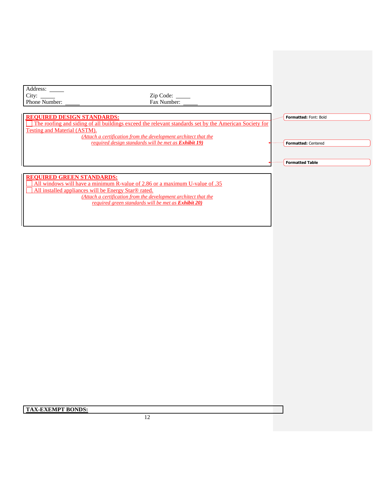Address: \_ City: Zip Code: Zip Code: Zip Code: Phone Number: Zip Code: Fax Number: Phone Number:

**Formatted:** Font: Bold

**Formatted:** Centered

**Formatted Table**

### **REQUIRED DESIGN STANDARDS:**

The roofing and siding of all buildings exceed the relevant standards set by the American Society for Testing and Material (ASTM).

*(Attach a certification from the development architect that the required design standards will be met as Exhibit 19)*

## **REQUIRED GREEN STANDARDS:**

All windows will have a minimum R-value of 2.86 or a maximum U-value of .35 All installed appliances will be Energy Star® rated. *(Attach a certification from the development architect that the required green standards will be met as Exhibit 20)*

**TAX-EXEMPT BONDS:**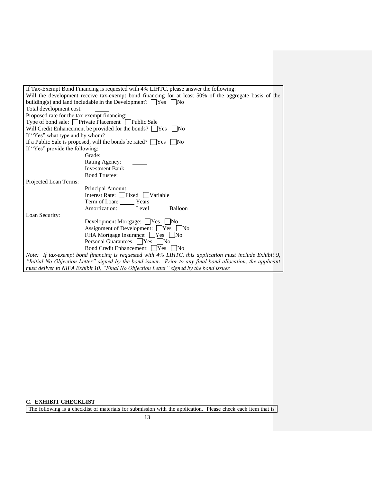| If Tax-Exempt Bond Financing is requested with 4% LIHTC, please answer the following:                                                                                                                                                                                                                                                                                                                                                                                                                                      |  |  |  |
|----------------------------------------------------------------------------------------------------------------------------------------------------------------------------------------------------------------------------------------------------------------------------------------------------------------------------------------------------------------------------------------------------------------------------------------------------------------------------------------------------------------------------|--|--|--|
| Will the development receive tax-exempt bond financing for at least 50% of the aggregate basis of the                                                                                                                                                                                                                                                                                                                                                                                                                      |  |  |  |
| building(s) and land includable in the Development? $\Box$ Yes $\Box$ No                                                                                                                                                                                                                                                                                                                                                                                                                                                   |  |  |  |
| Total development cost:                                                                                                                                                                                                                                                                                                                                                                                                                                                                                                    |  |  |  |
| Proposed rate for the tax-exempt financing:                                                                                                                                                                                                                                                                                                                                                                                                                                                                                |  |  |  |
| Type of bond sale: □ Private Placement □ Public Sale                                                                                                                                                                                                                                                                                                                                                                                                                                                                       |  |  |  |
| Will Credit Enhancement be provided for the bonds? $\Box$ Yes $\Box$ No                                                                                                                                                                                                                                                                                                                                                                                                                                                    |  |  |  |
| If "Yes" what type and by whom?                                                                                                                                                                                                                                                                                                                                                                                                                                                                                            |  |  |  |
| If a Public Sale is proposed, will the bonds be rated? $\Box$ Yes<br>l No                                                                                                                                                                                                                                                                                                                                                                                                                                                  |  |  |  |
| If "Yes" provide the following:                                                                                                                                                                                                                                                                                                                                                                                                                                                                                            |  |  |  |
| Grade:                                                                                                                                                                                                                                                                                                                                                                                                                                                                                                                     |  |  |  |
| Rating Agency:                                                                                                                                                                                                                                                                                                                                                                                                                                                                                                             |  |  |  |
| $\begin{tabular}{c} \multicolumn{1}{c} {\textbf{1}} & \multicolumn{1}{c} {\textbf{1}} & \multicolumn{1}{c} {\textbf{1}} \\ \multicolumn{1}{c} {\textbf{1}} & \multicolumn{1}{c} {\textbf{1}} & \multicolumn{1}{c} {\textbf{1}} \\ \multicolumn{1}{c} {\textbf{1}} & \multicolumn{1}{c} {\textbf{1}} & \multicolumn{1}{c} {\textbf{1}} \\ \multicolumn{1}{c} {\textbf{1}} & \multicolumn{1}{c} {\textbf{1}} & \multicolumn{1}{c} {\textbf{1}} \\ \multicolumn{1}{c} {\textbf{1}} & \multicolumn$<br><b>Investment Bank:</b> |  |  |  |
| <b>Bond Trustee:</b>                                                                                                                                                                                                                                                                                                                                                                                                                                                                                                       |  |  |  |
| Projected Loan Terms:                                                                                                                                                                                                                                                                                                                                                                                                                                                                                                      |  |  |  |
| Principal Amount:                                                                                                                                                                                                                                                                                                                                                                                                                                                                                                          |  |  |  |
| Interest Rate: $\Box$ Fixed $\Box$ Variable                                                                                                                                                                                                                                                                                                                                                                                                                                                                                |  |  |  |
| Term of Loan: Years                                                                                                                                                                                                                                                                                                                                                                                                                                                                                                        |  |  |  |
| Amortization: Level Balloon                                                                                                                                                                                                                                                                                                                                                                                                                                                                                                |  |  |  |
| Loan Security:                                                                                                                                                                                                                                                                                                                                                                                                                                                                                                             |  |  |  |
| Development Mortgage: Yes No                                                                                                                                                                                                                                                                                                                                                                                                                                                                                               |  |  |  |
| Assignment of Development: Yes No                                                                                                                                                                                                                                                                                                                                                                                                                                                                                          |  |  |  |
| FHA Mortgage Insurance: Yes No                                                                                                                                                                                                                                                                                                                                                                                                                                                                                             |  |  |  |
| Personal Guarantees: Yes No                                                                                                                                                                                                                                                                                                                                                                                                                                                                                                |  |  |  |
|                                                                                                                                                                                                                                                                                                                                                                                                                                                                                                                            |  |  |  |
| Note: If tax-exempt bond financing is requested with 4% LIHTC, this application must include Exhibit 9,                                                                                                                                                                                                                                                                                                                                                                                                                    |  |  |  |
| "Initial No Objection Letter" signed by the bond issuer. Prior to any final bond allocation, the applicant                                                                                                                                                                                                                                                                                                                                                                                                                 |  |  |  |
| must deliver to NIFA Exhibit 10, "Final No Objection Letter" signed by the bond issuer.                                                                                                                                                                                                                                                                                                                                                                                                                                    |  |  |  |

### **C. EXHIBIT CHECKLIST**

The following is a checklist of materials for submission with the application. Please check each item that is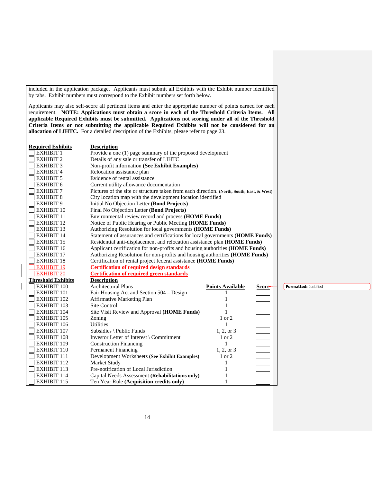included in the application package. Applicants must submit all Exhibits with the Exhibit number identified by tabs. Exhibit numbers must correspond to the Exhibit numbers set forth below. Applicants may also self-score all pertinent items and enter the appropriate number of points earned for each requirement. **NOTE: Applications must obtain a score in each of the Threshold Criteria Items. All applicable Required Exhibits must be submitted. Applications not scoring under all of the Threshold Criteria Items or not submitting the applicable Required Exhibits will not be considered for an allocation of LIHTC.** For a detailed description of the Exhibits, please refer to page 23. **Required Exhibits Description** EXHIBIT 1 Provide a one (1) page summary of the proposed development EXHIBIT 2 Details of any sale or transfer of LIHTC EXHIBIT 3 Non-profit information **(See Exhibit Examples)** EXHIBIT 4 Relocation assistance plan EXHIBIT 5 Evidence of rental assistance EXHIBIT 6 Current utility allowance documentation EXHIBIT 7 Pictures of the site or structure taken from each direction. **(North, South, East, & West)** EXHIBIT 8 City location map with the development location identified EXHIBIT 9 Initial No Objection Letter **(Bond Projects)** EXHIBIT 10 Final No Objection Letter **(Bond Projects)** EXHIBIT 11 Environmental review record and process **(HOME Funds)** EXHIBIT 12 Notice of Public Hearing or Public Meeting **(HOME Funds)** EXHIBIT 13 Authorizing Resolution for local governments **(HOME Funds)** EXHIBIT 14 Statement of assurances and certifications for local governments **(HOME Funds)**<br>EXHIBIT 15 Residential anti-displacement and relocation assistance plan **(HOME Funds)** Residential anti-displacement and relocation assistance plan **(HOME Funds)** EXHIBIT 16 Applicant certification for non-profits and housing authorities **(HOME Funds)** EXHIBIT 17 Authorizing Resolution for non-profits and housing authorities **(HOME Funds)** EXHIBIT 18 Certification of rental project federal assistance **(HOME Funds) EXHIBIT 19 Certification of required design standards** EXHIBIT 20 **Certification of required green standards Threshold Exhibits**<br> **EXHIBIT 100 Description** Architectural Plans **Points Available Score Formatted:** JustifiedEXHIBIT 101 Fair Housing Act and Section 504 – Design 1 EXHIBIT 102 Affirmative Marketing Plan 1 EXHIBIT 103 Site Control 1 EXHIBIT 104 Site Visit Review and Approval **(HOME Funds)** 1 EXHIBIT 105 Zoning 1 or 2 EXHIBIT 106 Utilities 1 EXHIBIT 107 Subsidies \ Public Funds 1, 2, or 3 EXHIBIT 108 Investor Letter of Interest \ Commitment 1 or 2 EXHIBIT 109 Construction Financing 1 EXHIBIT 110 Permanent Financing 1, 2, or 3 EXHIBIT 111 Development Worksheets **(See Exhibit Examples)** 1 or 2 EXHIBIT 112 Market Study 1 EXHIBIT 113 Pre-notification of Local Jurisdiction 1 EXHIBIT 114 Capital Needs Assessment **(Rehabilitations only)** 1 EXHIBIT 115 Ten Year Rule **(Acquisition credits only)** 1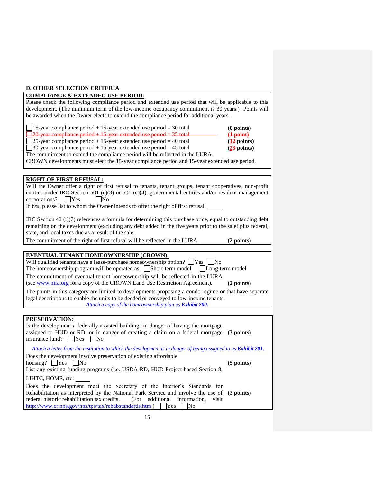#### **D. OTHER SELECTION CRITERIA**

## **COMPLIANCE & EXTENDED USE PERIOD:**

Please check the following compliance period and extended use period that will be applicable to this development. (The minimum term of the low-income occupancy commitment is 30 years.) Points will be awarded when the Owner elects to extend the compliance period for additional years.

| $\Box$ 15-year compliance period + 15-year extended use period = 30 total                    | $(0$ points)                |
|----------------------------------------------------------------------------------------------|-----------------------------|
| $\Box$ 20 year compliance period + 15 year extended use period = 35 total                    | $\left( \frac{1}{2}$ point) |
| $\Box$ 25-year compliance period + 15-year extended use period = 40 total                    | (12 points)                 |
| $\Box$ 30-year compliance period + 15-year extended use period = 45 total                    | $(23$ points)               |
| The commitment to extend the compliance period will be reflected in the LURA.                |                             |
| CROWN developments must elect the 15-year compliance period and 15-year extended use period. |                             |

## **RIGHT OF FIRST REFUSAL:**

Will the Owner offer a right of first refusal to tenants, tenant groups, tenant cooperatives, non-profit entities under IRC Section 501 (c)(3) or 501 (c)(4), governmental entities and/or resident management  $corporations?$   $Yes$   $No$ 

If *Yes*, please list to whom the Owner intends to offer the right of first refusal:

IRC Section 42 (i)(7) references a formula for determining this purchase price, equal to outstanding debt remaining on the development (excluding any debt added in the five years prior to the sale) plus federal, state, and local taxes due as a result of the sale.

The commitment of the right of first refusal will be reflected in the LURA. **(2 points)**

# **EVENTUAL TENANT HOMEOWNERSHIP (CROWN):**

| Will qualified tenants have a lease-purchase homeownership option? $\Box$ Yes $\Box$ No<br>The homeownership program will be operated as: $\Box$ Short-term model $\Box$ Long-term model                                                                           |
|--------------------------------------------------------------------------------------------------------------------------------------------------------------------------------------------------------------------------------------------------------------------|
| The commitment of eventual tenant homeownership will be reflected in the LURA<br>(see www.nifa.org for a copy of the CROWN Land Use Restriction Agreement).<br>(2 points)                                                                                          |
| The points in this category are limited to developments proposing a condo regime or that have separate<br>legal descriptions to enable the units to be deeded or conveyed to low-income tenants.<br>Attach a copy of the homeownership plan as <b>Exhibit 200.</b> |
|                                                                                                                                                                                                                                                                    |
| PRESERVATION:<br>Is the development a federally assisted building -in danger of having the mortgage                                                                                                                                                                |
| assigned to HUD or RD, or in danger of creating a claim on a federal mortgage (3 points)<br>insurance fund? $\Box$ Yes<br>   No                                                                                                                                    |

*Attach a letter from the institution to which the development is in danger of being assigned to as Exhibit 201.*

Does the development involve preservation of existing affordable housing?  $\bigcap Y$ es  $\bigcap$ No

**(5 points)**

List any existing funding programs (i.e. USDA-RD, HUD Project-based Section 8, LIHTC, HOME, etc:

Does the development meet the Secretary of the Interior's Standards for Rehabilitation as interpreted by the National Park Service and involve the use of **(2 points)**federal historic rehabilitation tax credits. (For additional information, visit <http://www.cr.nps.gov/hps/tps/tax/rehabstandards.htm> )  $\bigcap$ Yes  $\bigcap$ No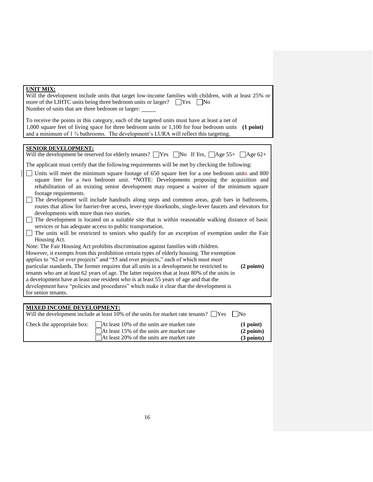| <b>UNIT MIX:</b><br>Will the development include units that target low-income families with children, with at least 25% or<br>more of the LIHTC units being three bedroom units or larger? $\Box$ Yes $\Box$ No<br>Number of units that are three bedroom or larger:                                           |
|----------------------------------------------------------------------------------------------------------------------------------------------------------------------------------------------------------------------------------------------------------------------------------------------------------------|
| To receive the points in this category, each of the targeted units must have at least a net of<br>1,000 square feet of living space for three bedroom units or 1,100 for four bedroom units<br>(1 point)<br>and a minimum of 1 3/4 bathrooms. The development's LURA will reflect this targeting.              |
|                                                                                                                                                                                                                                                                                                                |
| <b>SENIOR DEVELOPMENT:</b><br>Will the development be reserved for elderly tenants? $\Box$ Yes $\Box$ No If Yes, $\Box$ Age 55+ $\Box$ Age 62+                                                                                                                                                                 |
| The applicant must certify that the following requirements will be met by checking the following:                                                                                                                                                                                                              |
| Units will meet the minimum square footage of 650 square feet for a one bedroom units and 800<br>square feet for a two bedroom unit. *NOTE: Developments proposing the acquisition and<br>rehabilitation of an existing senior development may request a waiver of the minimum square<br>footage requirements. |
| The development will include handrails along steps and common areas, grab bars in bathrooms,<br>routes that allow for barrier-free access, lever-type doorknobs, single-lever faucets and elevators for<br>developments with more than two stories.                                                            |
| The development is located on a suitable site that is within reasonable walking distance of basic<br>services or has adequate access to public transportation.                                                                                                                                                 |
| The units will be restricted to seniors who qualify for an exception of exemption under the Fair<br>Housing Act.                                                                                                                                                                                               |
| Note: The Fair Housing Act prohibits discrimination against families with children.                                                                                                                                                                                                                            |
| However, it exempts from this prohibition certain types of elderly housing. The exemption                                                                                                                                                                                                                      |
| applies to "62 or over projects" and "55 and over projects," each of which must meet                                                                                                                                                                                                                           |
| particular standards. The former requires that all units in a development be restricted to<br>(2 points)                                                                                                                                                                                                       |
| tenants who are at least 62 years of age. The latter requires that at least 80% of the units in                                                                                                                                                                                                                |
| a development have at least one resident who is at least 55 years of age and that the                                                                                                                                                                                                                          |
| development have "policies and procedures" which make it clear that the development is                                                                                                                                                                                                                         |
| for senior tenants.                                                                                                                                                                                                                                                                                            |
|                                                                                                                                                                                                                                                                                                                |
| <b>MIXED INCOME DEVELOPMENT:</b>                                                                                                                                                                                                                                                                               |
| Will the development include at least 10% of the units for market rate tenants? $\Box$ Yes<br>$\overline{\rm No}$                                                                                                                                                                                              |
| At least 10% of the units are market rate<br>(1 point)<br>Check the appropriate box:                                                                                                                                                                                                                           |
| (2 points)<br>At least 15% of the units are market rate                                                                                                                                                                                                                                                        |
| At least 20% of the units are market rate<br>$(3$ points)                                                                                                                                                                                                                                                      |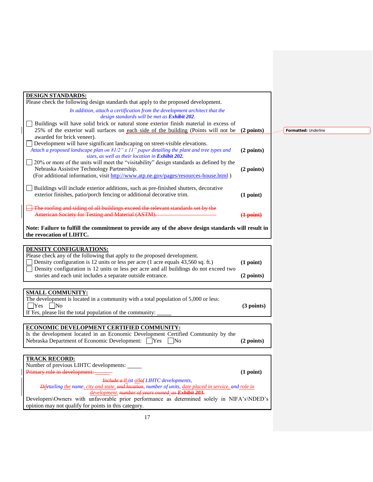| <b>DESIGN STANDARDS:</b><br>Please check the following design standards that apply to the proposed development.                                                                                                                                                                                                                                           |                             |      |
|-----------------------------------------------------------------------------------------------------------------------------------------------------------------------------------------------------------------------------------------------------------------------------------------------------------------------------------------------------------|-----------------------------|------|
| In addition, attach a certification from the development architect that the<br>design standards will be met as Exhibit 202.                                                                                                                                                                                                                               |                             |      |
| Buildings will have solid brick or natural stone exterior finish material in excess of<br>25% of the exterior wall surfaces on each side of the building (Points will not be                                                                                                                                                                              | (2 points)                  | Fort |
| awarded for brick veneer).<br>Development will have significant landscaping on street-visible elevations.<br>Attach a proposed landscape plan on 81/2" x 11" paper detailing the plant and tree types and<br>sizes, as well as their location in Exhibit 202.                                                                                             | (2 points)                  |      |
| [20% or more of the units will meet the "visitability" design standards as defined by the<br>Nebraska Assistive Technology Partnership.<br>(For additional information, visit http://www.atp.ne.gov/pages/resources-house.html)                                                                                                                           | (2 points)                  |      |
| Buildings will include exterior additions, such as pre-finished shutters, decorative<br>exterior finishes, patio/porch fencing or additional decorative trim.                                                                                                                                                                                             | (1 point)                   |      |
| The roofing and siding of all buildings exceed the relevant standards set by the<br>American Society for Testing and Material (ASTM).                                                                                                                                                                                                                     | $\left( \frac{1}{2}$ point) |      |
| Note: Failure to fulfill the commitment to provide any of the above design standards will result in<br>the revocation of LIHTC.                                                                                                                                                                                                                           |                             |      |
| <b>DENSITY CONFIGURATIONS:</b><br>Please check any of the following that apply to the proposed development.<br>Density configuration is 12 units or less per acre (1 acre equals 43,560 sq. ft.)<br>Density configuration is 12 units or less per acre and all buildings do not exceed two<br>stories and each unit includes a separate outside entrance. | (1 point)<br>(2 points)     |      |
|                                                                                                                                                                                                                                                                                                                                                           |                             |      |
| <b>SMALL COMMUNITY:</b><br>The development is located in a community with a total population of 5,000 or less:<br>$Yes$ No<br>If Yes, please list the total population of the community:                                                                                                                                                                  | (3 points)                  |      |
| ECONOMIC DEVELOPMENT CERTIFIED COMMUNITY:<br>Is the development located in an Economic Development Certified Community by the<br>Nebraska Department of Economic Development: □ Yes □ No                                                                                                                                                                  | (2 points)                  |      |
| <u>TRACK RECORD:</u>                                                                                                                                                                                                                                                                                                                                      |                             |      |
| Number of previous LIHTC developments:<br>Primary role in development:                                                                                                                                                                                                                                                                                    | (1 point)                   |      |
| <b>Include a IList allof LIHTC developments,</b><br>Ddetailing the name, city and state, and location, number of units, date placed in service, and role in<br>development. number of years owned. as Exhibit 203.                                                                                                                                        |                             |      |
| Developers\Owners with unfavorable prior performance as determined solely in NIFA's\NDED's<br>opinion may not qualify for points in this category.                                                                                                                                                                                                        |                             |      |

**matted:** Underline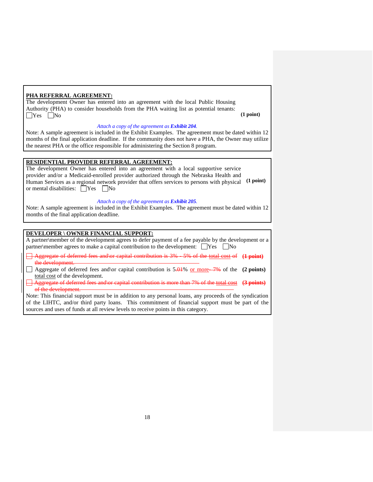## **PHA REFERRAL AGREEMENT:**

The development Owner has entered into an agreement with the local Public Housing Authority (PHA) to consider households from the PHA waiting list as potential tenants:  $\Box$ Yes  $\Box$ No (1 point)

#### *Attach a copy of the agreement as Exhibit 204.*

Note: A sample agreement is included in the Exhibit Examples. The agreement must be dated within 12 months of the final application deadline. If the community does not have a PHA, the Owner may utilize the nearest PHA or the office responsible for administering the Section 8 program.

## **RESIDENTIAL PROVIDER REFERRAL AGREEMENT:**

The development Owner has entered into an agreement with a local supportive service provider and/or a Medicaid-enrolled provider authorized through the Nebraska Health and Human Services as a regional network provider that offers services to persons with physical **(1 point)** or mental disabilities:  $\Box$  Yes  $\Box$  No

#### *Attach a copy of the agreement as Exhibit 205.*

Note: A sample agreement is included in the Exhibit Examples. The agreement must be dated within 12 months of the final application deadline.

## **DEVELOPER \ OWNER FINANCIAL SUPPORT:**

A partner\member of the development agrees to defer payment of a fee payable by the development or a partner\member agrees to make a capital contribution to the development:  $\square$  Yes  $\square$  No

| Aggregate of deferred fees and or capital contribution is 3% - 5% of the total cost of (1 point) |  |  |  |
|--------------------------------------------------------------------------------------------------|--|--|--|
|                                                                                                  |  |  |  |
| the development<br>the acretophicht.                                                             |  |  |  |

Aggregate of deferred fees and\or capital contribution is 5.01% or more- 7% of the **(2 points)** total cost of the development.

Aggregate of deferred fees and\or capital contribution is more than 7% of the total cost **(3 points)** of the development.

Note: This financial support must be in addition to any personal loans, any proceeds of the syndication of the LIHTC, and/or third party loans. This commitment of financial support must be part of the sources and uses of funds at all review levels to receive points in this category.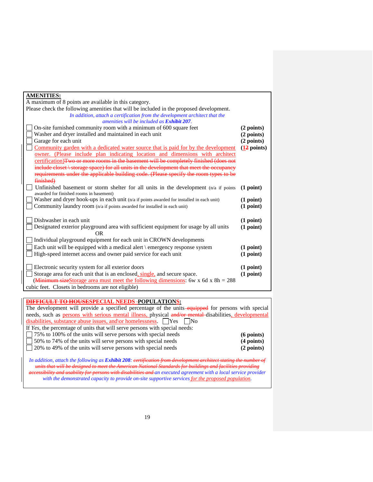| <b>AMENITIES:</b>                                                                         |              |  |  |
|-------------------------------------------------------------------------------------------|--------------|--|--|
| A maximum of 8 points are available in this category.                                     |              |  |  |
| Please check the following amenities that will be included in the proposed development.   |              |  |  |
| In addition, attach a certification from the development architect that the               |              |  |  |
| amenities will be included as Exhibit 207.                                                |              |  |  |
| On-site furnished community room with a minimum of 600 square feet                        | (2 points)   |  |  |
| Washer and dryer installed and maintained in each unit                                    | $(2$ points) |  |  |
| Garage for each unit                                                                      | $(2$ points) |  |  |
| Community garden with a dedicated water source that is paid for by the development        | (12 points)  |  |  |
| owner. (Please include plan indicating location and dimensions with architect             |              |  |  |
| certification) Two or more rooms in the basement will be completely finished (does not    |              |  |  |
| include closet \storage space) for all units in the development that meet the occupancy   |              |  |  |
| requirements under the applicable building code. (Please specify the room types to be     |              |  |  |
| finished)                                                                                 |              |  |  |
| Unfinished basement or storm shelter for all units in the development $(n/a)$ if points   | (1 point)    |  |  |
| awarded for finished rooms in basement)                                                   |              |  |  |
| Washer and dryer hook-ups in each unit (n/a if points awarded for installed in each unit) | (1 point)    |  |  |
| Community laundry room (n/a if points awarded for installed in each unit)                 | (1 point)    |  |  |
|                                                                                           |              |  |  |
| Dishwasher in each unit                                                                   | (1 point)    |  |  |
| Designated exterior playground area with sufficient equipment for usage by all units      | (1 point)    |  |  |
| 0R.                                                                                       |              |  |  |
| Individual playground equipment for each unit in CROWN developments                       |              |  |  |
| Each unit will be equipped with a medical alert $\epsilon$ emergency response system      | (1 point)    |  |  |
| High-speed internet access and owner paid service for each unit                           | (1 point)    |  |  |
|                                                                                           |              |  |  |
| Electronic security system for all exterior doors                                         | (1 point)    |  |  |
| Storage area for each unit that is an enclosed, single, and secure space.                 | (1 point)    |  |  |
| (Minimum sizeStorage area must meet the following dimensions: 6w x 6d x 8h = $288$ )      |              |  |  |
| cubic feet. Closets in bedrooms are not eligible)                                         |              |  |  |
|                                                                                           |              |  |  |

# **DIFFICULT TO HOUSESPECIAL NEEDS POPULATIONS:**

The development will provide a specified percentage of the units-equipped for persons with special needs, such as persons with serious mental illness, physical and/or mental disabilities, developmental disabilities, substance abuse issues, and or homelessness. Yes No

| If Yes, the percentage of units that will serve persons with special needs: |              |
|-----------------------------------------------------------------------------|--------------|
| $\Box$ 75% to 100% of the units will serve persons with special needs       | $(6$ points) |
| $\Box$ 50% to 74% of the units will serve persons with special needs        | $(4$ points) |
| $\sqrt{20\%}$ to 49% of the units will serve persons with special needs     | (2 points)   |
|                                                                             |              |

In addition, attach the following as *Exhibit 208: certification units that will be designed to meet the American National Standards for buildings and facilities providing accessibility and usability for persons with disabilities and an executed agreement with a local service provider with the demonstrated capacity to provide on-site supportive services for the proposed population.*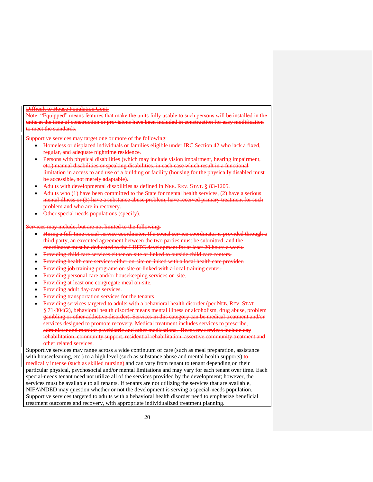#### Difficult to House Population Cont.

Note: "Equipped" means features that make the units fully usable to such persons will be installed in the units at the time of construction or provisions have been included in construction for easy modification to meet the standards.

Supportive services may target one or more of the following:

- Homeless or displaced individuals or families eligible under IRC Section 42 who lack a fixed, regular, and adequate nighttime residence.
- Persons with physical disabilities (which may include vision impairment, hearing impairment, etc.) manual disabilities or speaking disabilities, in each case which result in a functional limitation in access to and use of a building or facility (housing for the physically disabled must be accessible, not merely adaptable).
- Adults with developmental disabilities as defined in NEB. REV. STAT. § 83-1205.
- Adults who (1) have been committed to the State for mental health services, (2) have a serious mental illness or (3) have a substance abuse problem, have received primary treatment for such problem and who are in recovery.
- Other special needs populations (specify).

vices may include, but are not limited to the following:

- Hiring a full-time social service coordinator. If a social service coordinator is provided through a third party, an executed agreement between the two parties must be submitted, and the coordinator must be dedicated to the LIHTC development for at least 20 hours a week.
- Providing child care services either on-site or linked to outside child care centers.
- Providing health care services either on-site or linked with a local health care provider.
- Providing job training programs on-site or linked with a local training center.
- Providing personal care and/or housekeeping services on-site.
- Providing at least one congregate meal on-site.
- Providing adult day-care services.
- Providing transportation services for the tenants.
- Providing services targeted to adults with a behavioral health disorder (per NEB. REV. STAT. § 71-804(2), behavioral health disorder means mental illness or alcoholism, drug abuse, problem gambling or other addictive disorder). Services in this category can be medical treatment and/or services designed to promote recovery. Medical treatment includes services to prescribe, administer and monitor psychiatric and other medications. Recovery services include day rehabilitation, community support, residential rehabilitation, assertive community treatment and other related services.

Supportive services may range across a wide continuum of care (such as meal preparation, assistance with housecleaning, etc.) to a high level (such as substance abuse and mental health supports)  $\theta$ medically intense (such as skilled nursing) and can vary from tenant to tenant depending on their particular physical, psychosocial and/or mental limitations and may vary for each tenant over time. Each special-needs tenant need not utilize all of the services provided by the development; however, the services must be available to all tenants. If tenants are not utilizing the services that are available, NIFA\NDED may question whether or not the development is serving a special-needs population. Supportive services targeted to adults with a behavioral health disorder need to emphasize beneficial treatment outcomes and recovery, with appropriate individualized treatment planning.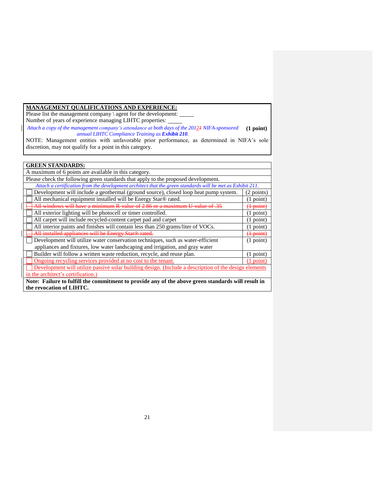# **MANAGEMENT QUALIFICATIONS AND EXPERIENCE:**

Please list the management company \ agent for the development: Number of years of experience managing LIHTC properties:

*Attach a copy of the management company's attendance at both days of the 20121 NIFA-sponsored*  **(1 point)** *annual LIHTC Compliance Training as Exhibit 210.*

NOTE: Management entities with unfavorable prior performance, as determined in NIFA's sole discretion, may not qualify for a point in this category.

| <b>GREEN STANDARDS:</b>                                                                                    |                      |  |
|------------------------------------------------------------------------------------------------------------|----------------------|--|
| A maximum of 6 points are available in this category.                                                      |                      |  |
| Please check the following green standards that apply to the proposed development.                         |                      |  |
| Attach a certification from the development architect that the green standards will be met as Exhibit 211. |                      |  |
| Development will include a geothermal (ground source), closed loop heat pump system.                       | 2 points)            |  |
| All mechanical equipment installed will be Energy Star® rated.                                             | $(1$ point)          |  |
| All windows will have a minimum R-value of 2.86 or a maximum U-value of .35                                | <del>(1 point)</del> |  |
| All exterior lighting will be photocell or timer controlled.                                               | $(1$ point)          |  |
| All carpet will include recycled-content carpet pad and carpet                                             | $(1$ point)          |  |
| All interior paints and finishes will contain less than 250 grams/liter of VOCs.                           | $(1$ point)          |  |
| All installed appliances will be Energy Star® rated.                                                       | <del>(1 point)</del> |  |
| Development will utilize water conservation techniques, such as water-efficient                            | $(1$ point)          |  |
| appliances and fixtures, low water landscaping and irrigation, and gray water                              |                      |  |
| Builder will follow a written waste reduction, recycle, and reuse plan.<br>$(1$ point)                     |                      |  |
| Ongoing recycling services provided at no cost to the tenant.                                              |                      |  |
| Development will utilize passive solar building design. (Include a description of the design elements      |                      |  |
| in the architect's certification.)                                                                         |                      |  |
| Note: Failure to fulfill the commitment to provide any of the above green standards will result in         |                      |  |
| the revocation of LIHTC.                                                                                   |                      |  |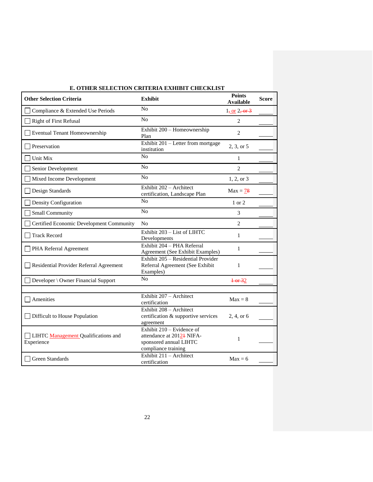| <b>Other Selection Criteria</b>                          | E. OTHER SELECTION CRITERIA EXHIBIT CHECRLIST<br><b>Exhibit</b>                                                     | <b>Points</b>              | <b>Score</b> |
|----------------------------------------------------------|---------------------------------------------------------------------------------------------------------------------|----------------------------|--------------|
|                                                          |                                                                                                                     | <b>Available</b>           |              |
| Compliance & Extended Use Periods                        | No                                                                                                                  | 1, or 2, or 3              |              |
| <b>Right of First Refusal</b>                            | No                                                                                                                  | $\overline{2}$             |              |
| Eventual Tenant Homeownership                            | Exhibit 200 - Homeownership<br>Plan                                                                                 | $\overline{c}$             |              |
| Preservation                                             | Exhibit 201 – Letter from mortgage<br>institution                                                                   | 2, 3, or 5                 |              |
| Unit Mix                                                 | N <sub>o</sub>                                                                                                      | $\mathbf{1}$               |              |
| Senior Development                                       | No                                                                                                                  | $\overline{c}$             |              |
| Mixed Income Development                                 | No                                                                                                                  | 1, 2, or 3                 |              |
| Design Standards                                         | Exhibit 202 - Architect<br>certification, Landscape Plan                                                            | $Max = 78$                 |              |
| Density Configuration                                    | No                                                                                                                  | 1 or 2                     |              |
| <b>Small Community</b>                                   | No                                                                                                                  | 3                          |              |
| Certified Economic Development Community                 | No                                                                                                                  | $\overline{2}$             |              |
| <b>Track Record</b>                                      | Exhibit 203 - List of LIHTC<br>Developments                                                                         | 1                          |              |
| PHA Referral Agreement                                   | Exhibit 204 - PHA Referral<br>Agreement (See Exhibit Examples)                                                      | 1                          |              |
| Residential Provider Referral Agreement                  | Exhibit 205 - Residential Provider<br>Referral Agreement (See Exhibit<br>Examples)                                  | $\mathbf{1}$               |              |
| Developer \ Owner Financial Support                      | N <sub>o</sub>                                                                                                      | $\frac{1-\text{or }32}{ }$ |              |
|                                                          |                                                                                                                     |                            |              |
| Amenities                                                | Exhibit 207 - Architect<br>certification                                                                            | $Max = 8$                  |              |
| Difficult to House Population                            | Exhibit 208 - Architect<br>certification & supportive services<br>agreement                                         | 2, 4, or 6                 |              |
| <b>LIHTC</b> Management Qualifications and<br>Experience | Exhibit 210 – Evidence of<br>attendance at 2012 <sup>1</sup> NIFA-<br>sponsored annual LIHTC<br>compliance training | $\mathbf{1}$               |              |
| Green Standards                                          | Exhibit 211 - Architect<br>certification                                                                            | $Max = 6$                  |              |

# **E. OTHER SELECTION CRITERIA EXHIBIT CHECKLIST**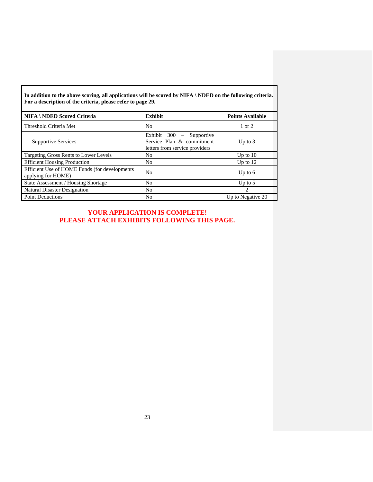**In addition to the above scoring, all applications will be scored by NIFA \ NDED on the following criteria. For a description of the criteria, please refer to page 29.**

| <b>NIFA \ NDED Scored Criteria</b>                                  | <b>Exhibit</b>                                                                                                       | <b>Points Available</b> |
|---------------------------------------------------------------------|----------------------------------------------------------------------------------------------------------------------|-------------------------|
| Threshold Criteria Met                                              | No                                                                                                                   | $1 \text{ or } 2$       |
| <b>Supportive Services</b>                                          | Exhibit 300<br>Supportive<br>$\overline{\phantom{m}}$<br>Service Plan & commitment<br>letters from service providers | Up to $3$               |
| Targeting Gross Rents to Lower Levels                               | No                                                                                                                   | Up to $10$              |
| <b>Efficient Housing Production</b>                                 | No                                                                                                                   | Up to $12$              |
| Efficient Use of HOME Funds (for developments<br>applying for HOME) | No                                                                                                                   | Up to $6$               |
| State Assessment / Housing Shortage                                 | No                                                                                                                   | Up to $5$               |
| <b>Natural Disaster Designation</b>                                 | No                                                                                                                   | 2                       |
| <b>Point Deductions</b>                                             | No                                                                                                                   | Up to Negative 20       |

**YOUR APPLICATION IS COMPLETE! PLEASE ATTACH EXHIBITS FOLLOWING THIS PAGE.**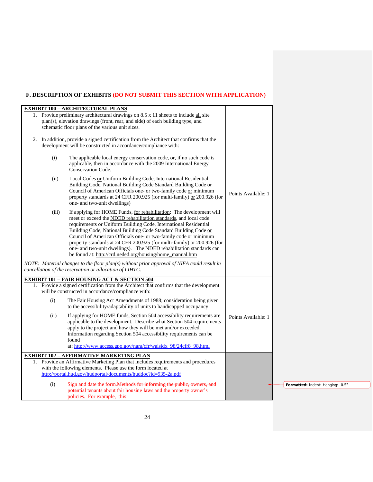# **F. DESCRIPTION OF EXHIBITS (DO NOT SUBMIT THIS SECTION WITH APPLICATION)**

|       | <b>EXHIBIT 100 - ARCHITECTURAL PLANS</b>                                                                                                                                                                                                                                                                                                                                                                                                                                                                                                                           |                     |
|-------|--------------------------------------------------------------------------------------------------------------------------------------------------------------------------------------------------------------------------------------------------------------------------------------------------------------------------------------------------------------------------------------------------------------------------------------------------------------------------------------------------------------------------------------------------------------------|---------------------|
|       | 1. Provide preliminary architectural drawings on 8.5 x 11 sheets to include all site<br>plan(s), elevation drawings (front, rear, and side) of each building type, and<br>schematic floor plans of the various unit sizes.                                                                                                                                                                                                                                                                                                                                         |                     |
|       | 2. In addition, provide a signed certification from the Architect that confirms that the<br>development will be constructed in accordance/compliance with:                                                                                                                                                                                                                                                                                                                                                                                                         |                     |
| (i)   | The applicable local energy conservation code, or, if no such code is<br>applicable, then in accordance with the 2009 International Energy<br>Conservation Code.                                                                                                                                                                                                                                                                                                                                                                                                   |                     |
| (ii)  | Local Codes or Uniform Building Code, International Residential<br>Building Code, National Building Code Standard Building Code or<br>Council of American Officials one- or two-family code or minimum<br>property standards at 24 CFR 200.925 (for multi-family) or 200.926 (for<br>one- and two-unit dwellings)                                                                                                                                                                                                                                                  | Points Available: 1 |
| (iii) | If applying for HOME Funds, for rehabilitation: The development will<br>meet or exceed the NDED rehabilitation standards, and local code<br>requirements or Uniform Building Code, International Residential<br>Building Code, National Building Code Standard Building Code or<br>Council of American Officials one- or two-family code or minimum<br>property standards at 24 CFR 200.925 (for multi-family) or 200.926 (for<br>one- and two-unit dwellings). The NDED rehabilitation standards can<br>be found at: http://crd.neded.org/housing/home_manual.htm |                     |
|       | NOTE: Material changes to the floor plan(s) without prior approval of NIFA could result in<br>cancellation of the reservation or allocation of LIHTC.                                                                                                                                                                                                                                                                                                                                                                                                              |                     |
|       | <b>EXHIBIT 101 - FAIR HOUSING ACT &amp; SECTION 504</b><br>1. Provide a signed certification from the Architect that confirms that the development<br>will be constructed in accordance/compliance with:                                                                                                                                                                                                                                                                                                                                                           |                     |
| (i)   | The Fair Housing Act Amendments of 1988; consideration being given<br>to the accessibility/adaptability of units to handicapped occupancy.                                                                                                                                                                                                                                                                                                                                                                                                                         |                     |
| (ii)  | If applying for HOME funds, Section 504 accessibility requirements are<br>applicable to the development. Describe what Section 504 requirements<br>apply to the project and how they will be met and/or exceeded.<br>Information regarding Section 504 accessibility requirements can be<br>found<br>at: http://www.access.gpo.gov/nara/cfr/waisidx_98/24cfr8_98.html                                                                                                                                                                                              | Points Available: 1 |
|       | <b>EXHIBIT 102 - AFFIRMATIVE MARKETING PLAN</b>                                                                                                                                                                                                                                                                                                                                                                                                                                                                                                                    |                     |
| 1.    | Provide an Affirmative Marketing Plan that includes requirements and procedures                                                                                                                                                                                                                                                                                                                                                                                                                                                                                    |                     |
|       | with the following elements. Please use the form located at                                                                                                                                                                                                                                                                                                                                                                                                                                                                                                        |                     |
|       | http://portal.hud.gov/hudportal/documents/huddoc?id=935-2a.pdf                                                                                                                                                                                                                                                                                                                                                                                                                                                                                                     |                     |
| (i)   | Sign and date the form. Methods for informing the public, owners, and                                                                                                                                                                                                                                                                                                                                                                                                                                                                                              |                     |
|       | potential tenants about fair housing laws and the property owner's                                                                                                                                                                                                                                                                                                                                                                                                                                                                                                 |                     |
|       | policies. For example, this                                                                                                                                                                                                                                                                                                                                                                                                                                                                                                                                        |                     |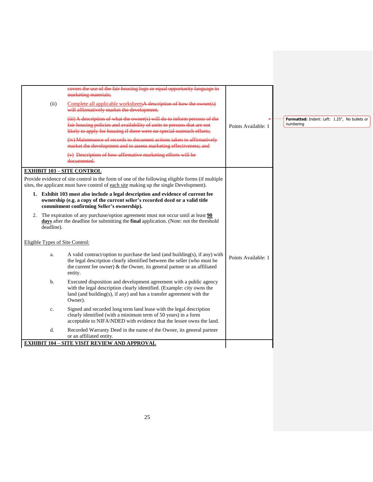|                                 | eovers the use of the fair housing logo or equal opportunity language in                                                                                                                                                                          |                     |                                                            |
|---------------------------------|---------------------------------------------------------------------------------------------------------------------------------------------------------------------------------------------------------------------------------------------------|---------------------|------------------------------------------------------------|
| (ii)                            | marketing materials;<br>Complete all applicable worksheets <sup>A</sup> description of how the owner(s)<br>will affirmatively market the development.                                                                                             |                     |                                                            |
|                                 | (iii) A description of what the owner(s) will do to inform persons of the<br>fair housing policies and availability of units to persons that are not<br>likely to apply for housing if there were no special outreach efforts;                    | Points Available: 1 | Formatted: Indent: Left: 1.25", No bullets or<br>numbering |
|                                 | (iv) Maintenance of records to document actions taken to affirmatively<br>market the development and to assess marketing effectiveness; and                                                                                                       |                     |                                                            |
|                                 | (v) Description of how affirmative marketing efforts will be<br>documented.                                                                                                                                                                       |                     |                                                            |
|                                 | <b>EXHIBIT 103 - SITE CONTROL</b>                                                                                                                                                                                                                 |                     |                                                            |
|                                 | Provide evidence of site control in the form of one of the following eligible forms (if multiple<br>sites, the applicant must have control of each site making up the single Development).                                                        |                     |                                                            |
|                                 | 1. Exhibit 103 must also include a legal description and evidence of current fee<br>ownership (e.g. a copy of the current seller's recorded deed or a valid title<br>commitment confirming Seller's ownership).                                   |                     |                                                            |
| deadline).                      | 2. The expiration of any purchase/option agreement must not occur until at least $90$<br>days after the deadline for submitting the final application. (Note: not the threshold                                                                   |                     |                                                            |
| Eligible Types of Site Control: |                                                                                                                                                                                                                                                   |                     |                                                            |
| a.                              | A valid contract/option to purchase the land (and building(s), if any) with<br>the legal description clearly identified between the seller (who must be<br>the current fee owner) $\&$ the Owner, its general partner or an affiliated<br>entity. | Points Available: 1 |                                                            |
| b.                              | Executed disposition and development agreement with a public agency<br>with the legal description clearly identified. (Example: city owns the<br>land (and building(s), if any) and has a transfer agreement with the<br>Owner).                  |                     |                                                            |
| c.                              | Signed and recorded long term land lease with the legal description<br>clearly identified (with a minimum term of 50 years) in a form<br>acceptable to NIFA\NDED with evidence that the lessee owns the land.                                     |                     |                                                            |
| d.                              | Recorded Warranty Deed in the name of the Owner, its general partner<br>or an affiliated entity.                                                                                                                                                  |                     |                                                            |
|                                 | <b>EXHIBIT 104 - SITE VISIT REVIEW AND APPROVAL</b>                                                                                                                                                                                               |                     |                                                            |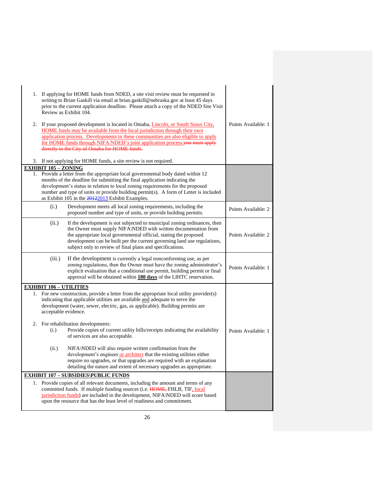| 1. If applying for HOME funds from NDED, a site visit review must be requested in<br>writing to Brian Gaskill via email at brian.gaskill@nebraska.gov at least 45 days<br>prior to the current application deadline. Please attach a copy of the NDED Site Visit<br>Review as Exhibit 104.<br>2. If your proposed development is located in Omaha, <i>Lincoln, or South Sioux City</i> ,<br>HOME funds may be available from the local jurisdiction through their own<br>application process. Developments in these communities are also eligible to apply<br>for HOME funds through NIFA/NDED's joint application process you must apply<br>directly to the City of Omaha for HOME funds.<br>3. If not applying for HOME funds, a site review is not required. | Points Available: 1 |
|-----------------------------------------------------------------------------------------------------------------------------------------------------------------------------------------------------------------------------------------------------------------------------------------------------------------------------------------------------------------------------------------------------------------------------------------------------------------------------------------------------------------------------------------------------------------------------------------------------------------------------------------------------------------------------------------------------------------------------------------------------------------|---------------------|
| <b>EXHIBIT 105 - ZONING</b>                                                                                                                                                                                                                                                                                                                                                                                                                                                                                                                                                                                                                                                                                                                                     |                     |
| 1. Provide a letter from the appropriate local governmental body dated within 12<br>months of the deadline for submitting the final application indicating the<br>development's status in relation to local zoning requirements for the proposed<br>number and type of units or provide building permit(s). A form of Letter is included<br>as Exhibit 105 in the 20122013 Exhibit Examples.                                                                                                                                                                                                                                                                                                                                                                    |                     |
| (i.)<br>Development meets all local zoning requirements, including the<br>proposed number and type of units, or provide building permits.                                                                                                                                                                                                                                                                                                                                                                                                                                                                                                                                                                                                                       | Points Available: 2 |
| (ii.)<br>If the development is not subjected to municipal zoning ordinances, then<br>the Owner must supply NIFA\NDED with written documentation from<br>the appropriate local governmental official, stating the proposed<br>development can be built per the current governing land use regulations,<br>subject only to review of final plans and specifications.                                                                                                                                                                                                                                                                                                                                                                                              | Points Available: 2 |
| (iii.)<br>If the development is currently a legal nonconforming use, as per<br>zoning regulations, then the Owner must have the zoning administrator's<br>explicit evaluation that a conditional use permit, building permit or final<br>approval will be obtained within 180 days of the LIHTC reservation.                                                                                                                                                                                                                                                                                                                                                                                                                                                    | Points Available: 1 |
| <b>EXHIBIT 106 - UTILITIES</b>                                                                                                                                                                                                                                                                                                                                                                                                                                                                                                                                                                                                                                                                                                                                  |                     |
| 1. For new construction, provide a letter from the appropriate local utility provider(s)<br>indicating that applicable utilities are available and adequate to serve the<br>development (water, sewer, electric, gas, as applicable). Building permits are<br>acceptable evidence.                                                                                                                                                                                                                                                                                                                                                                                                                                                                              |                     |
| 2. For rehabilitation developments:<br>Provide copies of current utility bills/receipts indicating the availability<br>(i.)<br>of services are also acceptable.                                                                                                                                                                                                                                                                                                                                                                                                                                                                                                                                                                                                 | Points Available: 1 |
| NIFA\NDED will also require written confirmation from the<br>(ii.)<br>development's engineer or architect that the existing utilities either<br>require no upgrades, or that upgrades are required with an explanation<br>detailing the nature and extent of necessary upgrades as appropriate.                                                                                                                                                                                                                                                                                                                                                                                                                                                                 |                     |
| <b>EXHIBIT 107 - SUBSIDIES\PUBLIC FUNDS</b>                                                                                                                                                                                                                                                                                                                                                                                                                                                                                                                                                                                                                                                                                                                     |                     |
| 1. Provide copies of all relevant documents, including the amount and terms of any<br>committed funds. If multiple funding sources (i.e. HOME, FHLB, TIF, local<br>jurisdiction funds) are included in the development, NIFA\NDED will score based<br>upon the resource that has the least level of readiness and commitment.                                                                                                                                                                                                                                                                                                                                                                                                                                   |                     |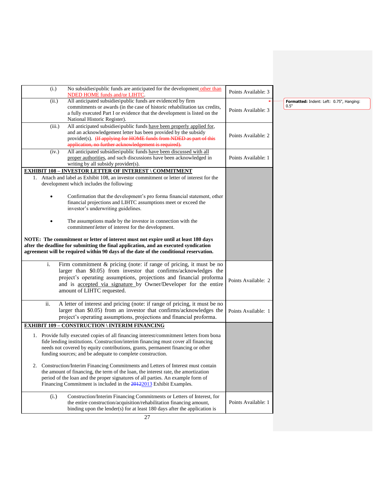| (i.)   | No subsidies\public funds are anticipated for the development other than<br><b>NDED HOME funds and/or LIHTC.</b>                                                                                                                                                                                                               | Points Available: 3 |
|--------|--------------------------------------------------------------------------------------------------------------------------------------------------------------------------------------------------------------------------------------------------------------------------------------------------------------------------------|---------------------|
| (ii.)  | All anticipated subsidies\public funds are evidenced by firm<br>commitments or awards (in the case of historic rehabilitation tax credits,<br>a fully executed Part I or evidence that the development is listed on the<br>National Historic Register).                                                                        | Points Available: 3 |
| (iii.) | All anticipated subsidies\public funds have been properly applied for,<br>and an acknowledgement letter has been provided by the subsidy<br>provider(s). (If applying for HOME funds from NDED as part of this<br>application, no further acknowledgement is required).                                                        | Points Available: 2 |
| (iv.)  | All anticipated subsidies\public funds have been discussed with all<br>proper authorities, and such discussions have been acknowledged in<br>writing by all subsidy provider(s).                                                                                                                                               | Points Available: 1 |
|        | <b>EXHIBIT 108 - INVESTOR LETTER OF INTEREST \ COMMITMENT</b>                                                                                                                                                                                                                                                                  |                     |
|        | 1. Attach and label as Exhibit 108, an investor commitment or letter of interest for the<br>development which includes the following:                                                                                                                                                                                          |                     |
|        | Confirmation that the development's pro forma financial statement, other<br>financial projections and LIHTC assumptions meet or exceed the<br>investor's underwriting guidelines.                                                                                                                                              |                     |
|        | The assumptions made by the investor in connection with the<br>commitment\letter of interest for the development.                                                                                                                                                                                                              |                     |
|        | NOTE: The commitment or letter of interest must not expire until at least 180 days<br>after the deadline for submitting the final application, and an executed syndication<br>agreement will be required within 90 days of the date of the conditional reservation.                                                            |                     |
| i.     | Firm commitment & pricing (note: if range of pricing, it must be no<br>larger than \$0.05) from investor that confirms/acknowledges the<br>project's operating assumptions, projections and financial proforma<br>and is accepted via signature by Owner/Developer for the entire<br>amount of LIHTC requested.                | Points Available: 2 |
| ii.    | A letter of interest and pricing (note: if range of pricing, it must be no<br>larger than \$0.05) from an investor that confirms/acknowledges the<br>project's operating assumptions, projections and financial proforma.                                                                                                      | Points Available: 1 |
|        | <b>EXHIBIT 109 - CONSTRUCTION \ INTERIM FINANCING</b>                                                                                                                                                                                                                                                                          |                     |
|        | 1. Provide fully executed copies of all financing interest/commitment letters from bona<br>fide lending institutions. Construction/interim financing must cover all financing<br>needs not covered by equity contributions, grants, permanent financing or other<br>funding sources; and be adequate to complete construction. |                     |
| 2.     | Construction/Interim Financing Commitments and Letters of Interest must contain<br>the amount of financing, the term of the loan, the interest rate, the amortization<br>period of the loan and the proper signatures of all parties. An example form of<br>Financing Commitment is included in the 20122013 Exhibit Examples. |                     |
| (i.)   | Construction/Interim Financing Commitments or Letters of Interest, for<br>the entire construction/acquisition/rehabilitation financing amount,<br>binding upon the lender(s) for at least 180 days after the application is                                                                                                    | Points Available: 1 |

**Formatted:** Indent: Left: 0.75", Hanging: 0.5"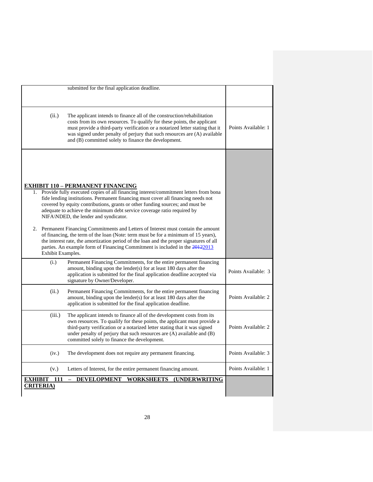|                                           | submitted for the final application deadline.                                                                                                                                                                                                                                                                                                                                                                                                                                                                                                                                                                                                                                                                                                                                        |                     |
|-------------------------------------------|--------------------------------------------------------------------------------------------------------------------------------------------------------------------------------------------------------------------------------------------------------------------------------------------------------------------------------------------------------------------------------------------------------------------------------------------------------------------------------------------------------------------------------------------------------------------------------------------------------------------------------------------------------------------------------------------------------------------------------------------------------------------------------------|---------------------|
| (ii.)                                     | The applicant intends to finance all of the construction/rehabilitation<br>costs from its own resources. To qualify for these points, the applicant<br>must provide a third-party verification or a notarized letter stating that it<br>was signed under penalty of perjury that such resources are (A) available<br>and (B) committed solely to finance the development.                                                                                                                                                                                                                                                                                                                                                                                                            | Points Available: 1 |
| Exhibit Examples.                         | <u>EXHIBIT 110 – PERMANENT FINANCING</u><br>1. Provide fully executed copies of all financing interest/commitment letters from bona<br>fide lending institutions. Permanent financing must cover all financing needs not<br>covered by equity contributions, grants or other funding sources; and must be<br>adequate to achieve the minimum debt service coverage ratio required by<br>NIFA\NDED, the lender and syndicator.<br>2. Permanent Financing Commitments and Letters of Interest must contain the amount<br>of financing, the term of the loan (Note: term must be for a minimum of 15 years),<br>the interest rate, the amortization period of the loan and the proper signatures of all<br>parties. An example form of Financing Commitment is included in the 20122013 |                     |
| (i.)                                      | Permanent Financing Commitments, for the entire permanent financing<br>amount, binding upon the lender(s) for at least 180 days after the<br>application is submitted for the final application deadline accepted via<br>signature by Owner/Developer.                                                                                                                                                                                                                                                                                                                                                                                                                                                                                                                               | Points Available: 3 |
| (ii.)                                     | Permanent Financing Commitments, for the entire permanent financing<br>amount, binding upon the lender(s) for at least 180 days after the<br>application is submitted for the final application deadline.                                                                                                                                                                                                                                                                                                                                                                                                                                                                                                                                                                            | Points Available: 2 |
| (iii.)                                    | The applicant intends to finance all of the development costs from its<br>own resources. To qualify for these points, the applicant must provide a<br>third-party verification or a notarized letter stating that it was signed<br>under penalty of perjury that such resources are (A) available and (B)<br>committed solely to finance the development.                                                                                                                                                                                                                                                                                                                                                                                                                            | Points Available: 2 |
| (iv.)                                     | The development does not require any permanent financing.                                                                                                                                                                                                                                                                                                                                                                                                                                                                                                                                                                                                                                                                                                                            | Points Available: 3 |
| (v.)                                      | Letters of Interest, for the entire permanent financing amount.                                                                                                                                                                                                                                                                                                                                                                                                                                                                                                                                                                                                                                                                                                                      | Points Available: 1 |
| <b>EXHIBIT</b><br>111<br><b>CRITERIA)</b> | <b>WORKSHEETS</b><br>$\equiv$<br><b>DEVELOPMENT</b><br><b>(UNDERWRITING</b>                                                                                                                                                                                                                                                                                                                                                                                                                                                                                                                                                                                                                                                                                                          |                     |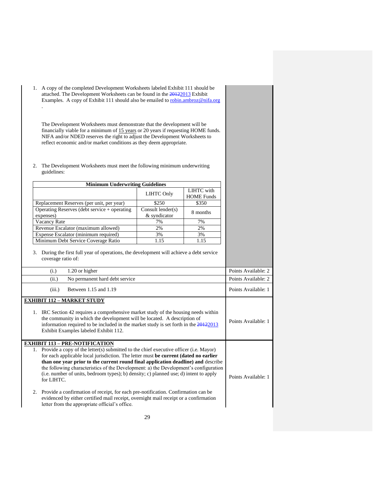1. A copy of the completed Development Worksheets labeled Exhibit 111 should be attached. The Development Worksheets can be found in the 20122013 Exhibit Examples. A copy of Exhibit 111 should also be emailed to [robin.ambroz@nifa.org](mailto:robin.ambroz@nifa.org) .

The Development Worksheets must demonstrate that the development will be financially viable for a minimum of 15 years or 20 years if requesting HOME funds. NIFA and/or NDED reserves the right to adjust the Development Worksheets to reflect economic and/or market conditions as they deem appropriate.

2. The Development Worksheets must meet the following minimum underwriting guidelines:

| <b>Minimum Underwriting Guidelines</b>                                                                                                                                                                                                                                                                                                                                                                                                                                                                                                                                                                                                                                                                                                          |                                      |                                 |                     |
|-------------------------------------------------------------------------------------------------------------------------------------------------------------------------------------------------------------------------------------------------------------------------------------------------------------------------------------------------------------------------------------------------------------------------------------------------------------------------------------------------------------------------------------------------------------------------------------------------------------------------------------------------------------------------------------------------------------------------------------------------|--------------------------------------|---------------------------------|---------------------|
|                                                                                                                                                                                                                                                                                                                                                                                                                                                                                                                                                                                                                                                                                                                                                 | <b>LIHTC Only</b>                    | LIHTC with<br><b>HOME</b> Funds |                     |
| Replacement Reserves (per unit, per year)                                                                                                                                                                                                                                                                                                                                                                                                                                                                                                                                                                                                                                                                                                       | \$250                                | \$350                           |                     |
| Operating Reserves (debt service + operating<br>expenses)                                                                                                                                                                                                                                                                                                                                                                                                                                                                                                                                                                                                                                                                                       | Consult lender $(s)$<br>& syndicator | 8 months                        |                     |
| Vacancy Rate                                                                                                                                                                                                                                                                                                                                                                                                                                                                                                                                                                                                                                                                                                                                    | 7%                                   | 7%                              |                     |
| Revenue Escalator (maximum allowed)                                                                                                                                                                                                                                                                                                                                                                                                                                                                                                                                                                                                                                                                                                             | 2%                                   | 2%                              |                     |
| Expense Escalator (minimum required)                                                                                                                                                                                                                                                                                                                                                                                                                                                                                                                                                                                                                                                                                                            | 3%                                   | 3%                              |                     |
| Minimum Debt Service Coverage Ratio                                                                                                                                                                                                                                                                                                                                                                                                                                                                                                                                                                                                                                                                                                             | 1.15                                 | 1.15                            |                     |
| coverage ratio of:<br>1.20 or higher<br>(i.)                                                                                                                                                                                                                                                                                                                                                                                                                                                                                                                                                                                                                                                                                                    |                                      |                                 | Points Available: 2 |
| No permanent hard debt service<br>(ii.)                                                                                                                                                                                                                                                                                                                                                                                                                                                                                                                                                                                                                                                                                                         |                                      |                                 | Points Available: 2 |
| Between 1.15 and 1.19<br>(iii.)                                                                                                                                                                                                                                                                                                                                                                                                                                                                                                                                                                                                                                                                                                                 |                                      |                                 | Points Available: 1 |
| <b>EXHIBIT 112 - MARKET STUDY</b><br>1. IRC Section 42 requires a comprehensive market study of the housing needs within<br>the community in which the development will be located. A description of<br>information required to be included in the market study is set forth in the $20122013$<br>Exhibit Examples labeled Exhibit 112.                                                                                                                                                                                                                                                                                                                                                                                                         |                                      |                                 | Points Available: 1 |
| <b>EXHIBIT 113 – PRE-NOTIFICATION</b><br>1. Provide a copy of the letter(s) submitted to the chief executive officer (i.e. Mayor)<br>for each applicable local jurisdiction. The letter must be current (dated no earlier<br>than one year prior to the current round final application deadline) and describe<br>the following characteristics of the Development: a) the Development's configuration<br>(i.e. number of units, bedroom types); b) density; c) planned use; d) intent to apply<br>for LIHTC.<br>2. Provide a confirmation of receipt, for each pre-notification. Confirmation can be<br>evidenced by either certified mail receipt, overnight mail receipt or a confirmation<br>letter from the appropriate official's office. |                                      |                                 | Points Available: 1 |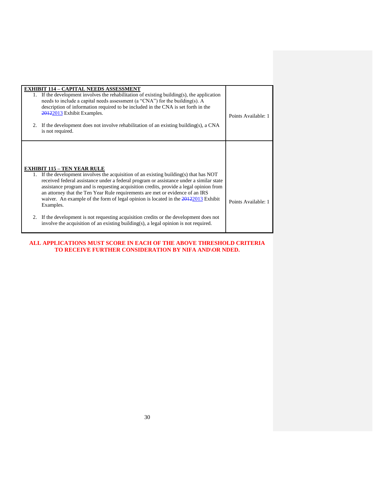|         | <b>EXHIBIT 114 - CAPITAL NEEDS ASSESSMENT</b><br>1. If the development involves the rehabilitation of existing building(s), the application<br>needs to include a capital needs assessment (a "CNA") for the building(s). A<br>description of information required to be included in the CNA is set forth in the<br>20122013 Exhibit Examples.                                                                                                                                                                                                                                                                                                                                          |                     |
|---------|-----------------------------------------------------------------------------------------------------------------------------------------------------------------------------------------------------------------------------------------------------------------------------------------------------------------------------------------------------------------------------------------------------------------------------------------------------------------------------------------------------------------------------------------------------------------------------------------------------------------------------------------------------------------------------------------|---------------------|
|         | 2. If the development does not involve rehabilitation of an existing building(s), a CNA<br>is not required.                                                                                                                                                                                                                                                                                                                                                                                                                                                                                                                                                                             | Points Available: 1 |
| $2^{+}$ | <b>EXHIBIT 115 – TEN YEAR RULE</b><br>1. If the development involves the acquisition of an existing building(s) that has NOT<br>received federal assistance under a federal program or assistance under a similar state<br>assistance program and is requesting acquisition credits, provide a legal opinion from<br>an attorney that the Ten Year Rule requirements are met or evidence of an IRS<br>waiver. An example of the form of legal opinion is located in the $20122013$ Exhibit<br>Examples.<br>If the development is not requesting acquisition credits or the development does not<br>involve the acquisition of an existing building(s), a legal opinion is not required. | Points Available: 1 |

## **ALL APPLICATIONS MUST SCORE IN EACH OF THE ABOVE THRESHOLD CRITERIA TO RECEIVE FURTHER CONSIDERATION BY NIFA AND\OR NDED.**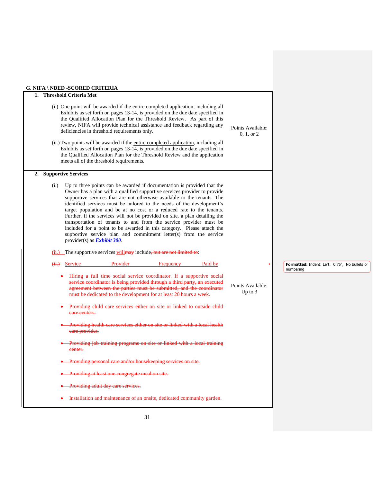# **G. NIFA \ NDED -SCORED CRITERIA**

| 1. Threshold Criteria Met<br>(i.) One point will be awarded if the <u>entire completed application</u> , including all<br>Exhibits as set forth on pages 13-14, is provided on the due date specified in<br>the Qualified Allocation Plan for the Threshold Review. As part of this<br>review, NIFA will provide technical assistance and feedback regarding any<br>Points Available:<br>deficiencies in threshold requirements only.<br>0, 1, or 2<br>(ii.) Two points will be awarded if the entire completed application, including all<br>Exhibits as set forth on pages 13-14, is provided on the due date specified in<br>the Qualified Allocation Plan for the Threshold Review and the application<br>meets all of the threshold requirements.<br>2. Supportive Services<br>Up to three points can be awarded if documentation is provided that the<br>(i.)<br>Owner has a plan with a qualified supportive services provider to provide<br>supportive services that are not otherwise available to the tenants. The<br>identified services must be tailored to the needs of the development's<br>target population and be at no cost or a reduced rate to the tenants.<br>Further, if the services will not be provided on site, a plan detailing the<br>transportation of tenants to and from the service provider must be<br>included for a point to be awarded in this category. Please attach the<br>supportive service plan and commitment letter(s) from the service<br>provider(s) as <b>Exhibit 300</b> .<br>(ii.) The supportive services will may include, but are not limited to:<br>Provider<br>Frequency<br>Paid by<br>Service<br>$\overline{(+)}$<br>Formatted: Indent: Left: 0.75", No bullets or<br>numbering<br>Hiring a full time social service coordinator. If a supportive social<br>service coordinator is being provided through a third party, an executed<br>Points Available:<br>agreement between the parties must be submitted, and the coordinator<br>Up to $3$<br>must be dedicated to the development for at least 20 hours a week.<br>Providing child care services either on site or linked to outside child<br>care centers.<br>Providing health care services either on site or linked with a local health<br>care provider.<br>Providing job training programs on site or linked with a local training<br>eenter.<br>Providing personal care and/or housekeeping services on site.<br>Providing at least one congregate meal on site.<br>Providing adult day care services.<br>Installation and maintenance of an onsite, dedicated community garden. |  |  |
|----------------------------------------------------------------------------------------------------------------------------------------------------------------------------------------------------------------------------------------------------------------------------------------------------------------------------------------------------------------------------------------------------------------------------------------------------------------------------------------------------------------------------------------------------------------------------------------------------------------------------------------------------------------------------------------------------------------------------------------------------------------------------------------------------------------------------------------------------------------------------------------------------------------------------------------------------------------------------------------------------------------------------------------------------------------------------------------------------------------------------------------------------------------------------------------------------------------------------------------------------------------------------------------------------------------------------------------------------------------------------------------------------------------------------------------------------------------------------------------------------------------------------------------------------------------------------------------------------------------------------------------------------------------------------------------------------------------------------------------------------------------------------------------------------------------------------------------------------------------------------------------------------------------------------------------------------------------------------------------------------------------------------------------------------------------------------------------------------------------------------------------------------------------------------------------------------------------------------------------------------------------------------------------------------------------------------------------------------------------------------------------------------------------------------------------------------------------------------------------------------------------------------------------------------------------------------------------------------|--|--|
|                                                                                                                                                                                                                                                                                                                                                                                                                                                                                                                                                                                                                                                                                                                                                                                                                                                                                                                                                                                                                                                                                                                                                                                                                                                                                                                                                                                                                                                                                                                                                                                                                                                                                                                                                                                                                                                                                                                                                                                                                                                                                                                                                                                                                                                                                                                                                                                                                                                                                                                                                                                                    |  |  |
|                                                                                                                                                                                                                                                                                                                                                                                                                                                                                                                                                                                                                                                                                                                                                                                                                                                                                                                                                                                                                                                                                                                                                                                                                                                                                                                                                                                                                                                                                                                                                                                                                                                                                                                                                                                                                                                                                                                                                                                                                                                                                                                                                                                                                                                                                                                                                                                                                                                                                                                                                                                                    |  |  |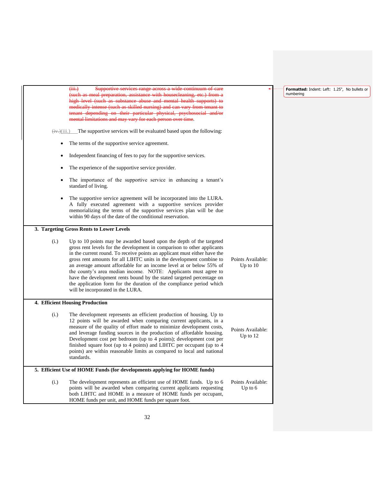| $\overline{(\overline{iii})}$<br>(such as meal preparation, assistance with housecleaning, etc.) from a<br>high level (such as substance abuse and mental health supports) to<br>medically intense (such as skilled nursing) and can vary from tenant to<br>tenant depending on their particular physical, psychosocial and/or<br>mental limitations and may vary for each person over time.                                                                                                                                                                                                                                        |                                                           | Formatted: Indent: Left: 1.25", No bullets or<br>numbering |
|-------------------------------------------------------------------------------------------------------------------------------------------------------------------------------------------------------------------------------------------------------------------------------------------------------------------------------------------------------------------------------------------------------------------------------------------------------------------------------------------------------------------------------------------------------------------------------------------------------------------------------------|-----------------------------------------------------------|------------------------------------------------------------|
| The supportive services will be evaluated based upon the following:<br>$\overline{(+)}$ $(iii.)$                                                                                                                                                                                                                                                                                                                                                                                                                                                                                                                                    |                                                           |                                                            |
| The terms of the supportive service agreement.                                                                                                                                                                                                                                                                                                                                                                                                                                                                                                                                                                                      |                                                           |                                                            |
| Independent financing of fees to pay for the supportive services.                                                                                                                                                                                                                                                                                                                                                                                                                                                                                                                                                                   |                                                           |                                                            |
| The experience of the supportive service provider.                                                                                                                                                                                                                                                                                                                                                                                                                                                                                                                                                                                  |                                                           |                                                            |
| The importance of the supportive service in enhancing a tenant's<br>standard of living.                                                                                                                                                                                                                                                                                                                                                                                                                                                                                                                                             |                                                           |                                                            |
| The supportive service agreement will be incorporated into the LURA.<br>A fully executed agreement with a supportive services provider<br>memorializing the terms of the supportive services plan will be due<br>within 90 days of the date of the conditional reservation.                                                                                                                                                                                                                                                                                                                                                         |                                                           |                                                            |
| 3. Targeting Gross Rents to Lower Levels                                                                                                                                                                                                                                                                                                                                                                                                                                                                                                                                                                                            |                                                           |                                                            |
| Up to 10 points may be awarded based upon the depth of the targeted<br>gross rent levels for the development in comparison to other applicants<br>in the current round. To receive points an applicant must either have the<br>gross rent amounts for all LIHTC units in the development combine to<br>an average amount affordable for an income level at or below 55% of<br>the county's area median income. NOTE: Applicants must agree to<br>have the development rents bound by the stated targeted percentage on<br>the application form for the duration of the compliance period which<br>will be incorporated in the LURA. | Points Available:<br>Up to 10                             |                                                            |
| 4. Efficient Housing Production                                                                                                                                                                                                                                                                                                                                                                                                                                                                                                                                                                                                     |                                                           |                                                            |
| The development represents an efficient production of housing. Up to<br>12 points will be awarded when comparing current applicants, in a<br>measure of the quality of effort made to minimize development costs,<br>and leverage funding sources in the production of affordable housing.<br>Development cost per bedroom (up to 4 points); development cost per<br>finished square foot (up to 4 points) and LIHTC per occupant (up to 4<br>points) are within reasonable limits as compared to local and national<br>standards.                                                                                                  | Points Available:<br>Up to 12                             |                                                            |
| 5. Efficient Use of HOME Funds (for developments applying for HOME funds)                                                                                                                                                                                                                                                                                                                                                                                                                                                                                                                                                           |                                                           |                                                            |
| The development represents an efficient use of HOME funds. Up to 6<br>points will be awarded when comparing current applicants requesting<br>both LIHTC and HOME in a measure of HOME funds per occupant,<br>HOME funds per unit, and HOME funds per square foot.                                                                                                                                                                                                                                                                                                                                                                   | Points Available:<br>Up to $6$                            |                                                            |
|                                                                                                                                                                                                                                                                                                                                                                                                                                                                                                                                                                                                                                     | Supportive services range across a wide continuum of care |                                                            |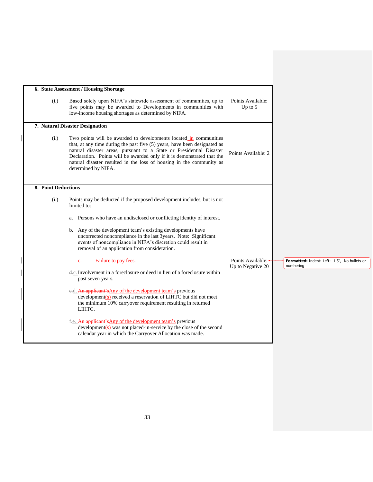|                     | 6. State Assessment / Housing Shortage                                                                                                                                                                                                                                                                                                                                                                                                                                                                                                                       |                                          |                                                           |
|---------------------|--------------------------------------------------------------------------------------------------------------------------------------------------------------------------------------------------------------------------------------------------------------------------------------------------------------------------------------------------------------------------------------------------------------------------------------------------------------------------------------------------------------------------------------------------------------|------------------------------------------|-----------------------------------------------------------|
| (i.)                | Based solely upon NIFA's statewide assessment of communities, up to<br>five points may be awarded to Developments in communities with<br>low-income housing shortages as determined by NIFA.                                                                                                                                                                                                                                                                                                                                                                 | Points Available:<br>Up to $5$           |                                                           |
|                     | 7. Natural Disaster Designation                                                                                                                                                                                                                                                                                                                                                                                                                                                                                                                              |                                          |                                                           |
| (i.)                | Two points will be awarded to developments located in communities<br>that, at any time during the past five (5) years, have been designated as<br>natural disaster areas, pursuant to a State or Presidential Disaster<br>Declaration. Points will be awarded only if it is demonstrated that the<br>natural disaster resulted in the loss of housing in the community as<br>determined by NIFA.                                                                                                                                                             | Points Available: 2                      |                                                           |
| 8. Point Deductions |                                                                                                                                                                                                                                                                                                                                                                                                                                                                                                                                                              |                                          |                                                           |
| (i.)                | Points may be deducted if the proposed development includes, but is not<br>limited to:<br>a. Persons who have an undisclosed or conflicting identity of interest.<br>b. Any of the development team's existing developments have<br>uncorrected noncompliance in the last 3years. Note: Significant<br>events of noncompliance in NIFA's discretion could result in<br>removal of an application from consideration.<br>Failure to pay fees.<br>$e_{\tau}$<br>d.c. Involvement in a foreclosure or deed in lieu of a foreclosure within<br>past seven years. | Points Available: +<br>Up to Negative 20 | Formatted: Indent: Left: 1.5", No bullets or<br>numbering |
|                     | e.d. An applicant's Any of the development team's previous<br>development(s) received a reservation of LIHTC but did not meet<br>the minimum 10% carryover requirement resulting in returned<br>LIHTC.                                                                                                                                                                                                                                                                                                                                                       |                                          |                                                           |
|                     | f.e. An applicant's Any of the development team's previous<br>$development(s)$ was not placed-in-service by the close of the second<br>calendar year in which the Carryover Allocation was made.                                                                                                                                                                                                                                                                                                                                                             |                                          |                                                           |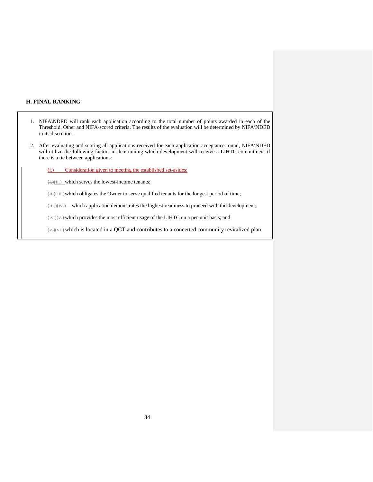## **H. FINAL RANKING**

- 1. NIFA\NDED will rank each application according to the total number of points awarded in each of the Threshold, Other and NIFA-scored criteria. The results of the evaluation will be determined by NIFA\NDED in its discretion.
- 2. After evaluating and scoring all applications received for each application acceptance round, NIFA\NDED will utilize the following factors in determining which development will receive a LIHTC commitment if there is a tie between applications:
	- (i.) Consideration given to meeting the established set-asides;

 $\dddot{\mathbf{u}}$ .)(ii.) which serves the lowest-income tenants;

(ii.)(iii.)which obligates the Owner to serve qualified tenants for the longest period of time;

(iii.)(iv.) which application demonstrates the highest readiness to proceed with the development;

 $\frac{\text{div.}}{\text{div.}}$  which provides the most efficient usage of the LIHTC on a per-unit basis; and

 $\forall x, y(x)$  which is located in a QCT and contributes to a concerted community revitalized plan.